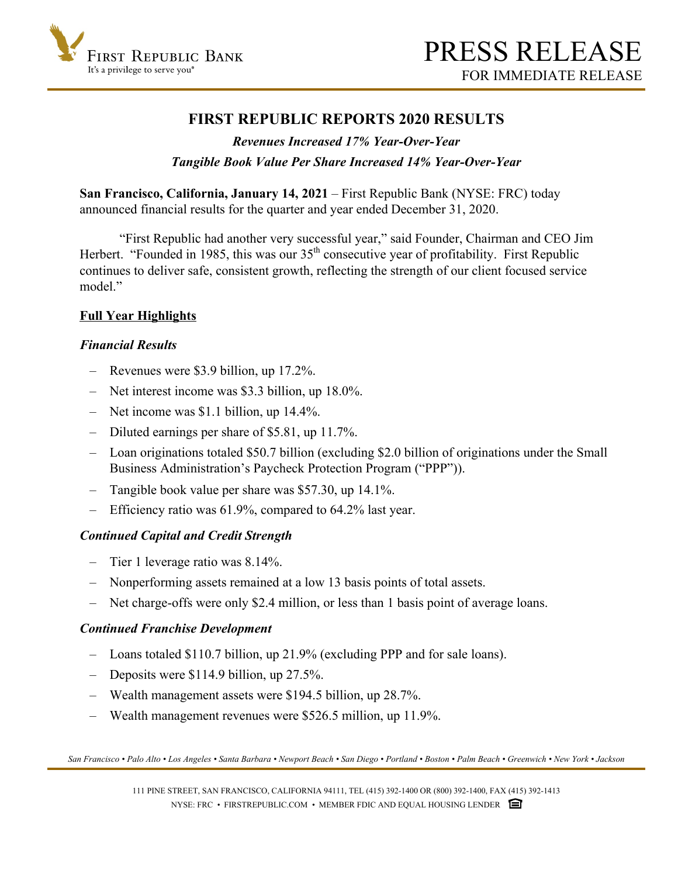

# **FIRST REPUBLIC REPORTS 2020 RESULTS**

# *Revenues Increased 17% Year-Over-Year Tangible Book Value Per Share Increased 14% Year-Over-Year*

**San Francisco, California, January 14, 2021** – First Republic Bank (NYSE: FRC) today announced financial results for the quarter and year ended December 31, 2020.

 "First Republic had another very successful year," said Founder, Chairman and CEO Jim Herbert. "Founded in 1985, this was our  $35<sup>th</sup>$  consecutive year of profitability. First Republic continues to deliver safe, consistent growth, reflecting the strength of our client focused service model"

## **Full Year Highlights**

## *Financial Results*

- Revenues were \$3.9 billion, up 17.2%.
- Net interest income was \$3.3 billion, up 18.0%.
- Net income was \$1.1 billion, up 14.4%.
- Diluted earnings per share of \$5.81, up 11.7%.
- Loan originations totaled \$50.7 billion (excluding \$2.0 billion of originations under the Small Business Administration's Paycheck Protection Program ("PPP")).
- Tangible book value per share was \$57.30, up 14.1%.
- Efficiency ratio was 61.9%, compared to 64.2% last year.

## *Continued Capital and Credit Strength*

- Tier 1 leverage ratio was 8.14%.
- Nonperforming assets remained at a low 13 basis points of total assets.
- Net charge-offs were only \$2.4 million, or less than 1 basis point of average loans.

### *Continued Franchise Development*

- Loans totaled \$110.7 billion, up 21.9% (excluding PPP and for sale loans).
- Deposits were \$114.9 billion, up 27.5%.
- Wealth management assets were \$194.5 billion, up 28.7%.
- Wealth management revenues were \$526.5 million, up 11.9%.

*San Francisco • Palo Alto • Los Angeles • Santa Barbara • Newport Beach • San Diego • Portland • Boston • Palm Beach • Greenwich • New York • Jackson*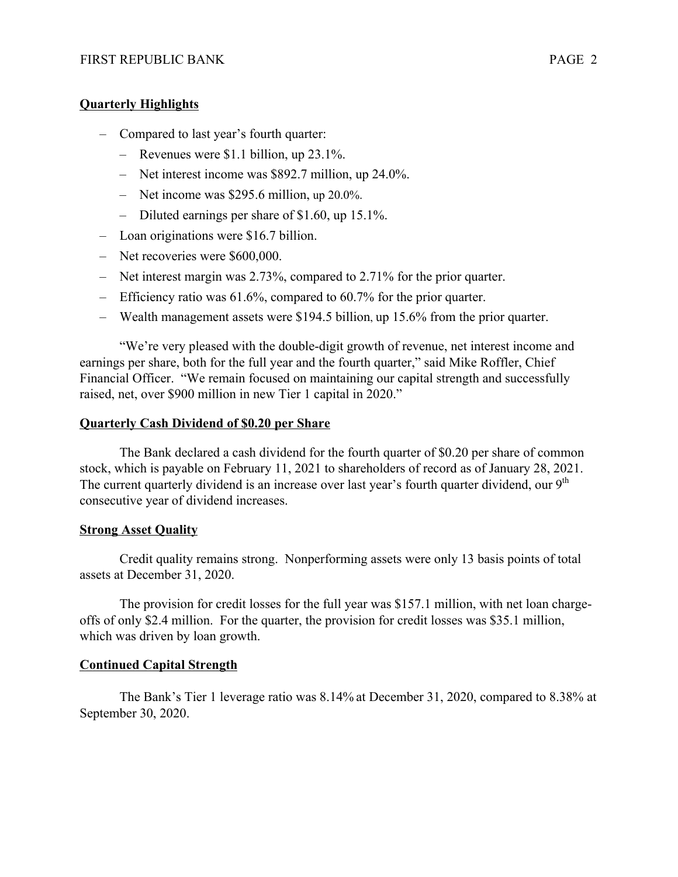## **Quarterly Highlights**

- Compared to last year's fourth quarter:
	- Revenues were \$1.1 billion, up 23.1%.
	- Net interest income was \$892.7 million, up 24.0%.
	- Net income was \$295.6 million, up 20.0%.
	- Diluted earnings per share of \$1.60, up 15.1%.
- Loan originations were \$16.7 billion.
- Net recoveries were \$600,000.
- Net interest margin was 2.73%, compared to 2.71% for the prior quarter.
- Efficiency ratio was 61.6%, compared to 60.7% for the prior quarter.
- Wealth management assets were \$194.5 billion, up 15.6% from the prior quarter.

"We're very pleased with the double-digit growth of revenue, net interest income and earnings per share, both for the full year and the fourth quarter," said Mike Roffler, Chief Financial Officer. "We remain focused on maintaining our capital strength and successfully raised, net, over \$900 million in new Tier 1 capital in 2020."

### **Quarterly Cash Dividend of \$0.20 per Share**

The Bank declared a cash dividend for the fourth quarter of \$0.20 per share of common stock, which is payable on February 11, 2021 to shareholders of record as of January 28, 2021. The current quarterly dividend is an increase over last year's fourth quarter dividend, our  $9<sup>th</sup>$ consecutive year of dividend increases.

### **Strong Asset Quality**

Credit quality remains strong. Nonperforming assets were only 13 basis points of total assets at December 31, 2020.

The provision for credit losses for the full year was \$157.1 million, with net loan chargeoffs of only \$2.4 million. For the quarter, the provision for credit losses was \$35.1 million, which was driven by loan growth.

### **Continued Capital Strength**

The Bank's Tier 1 leverage ratio was 8.14% at December 31, 2020, compared to 8.38% at September 30, 2020.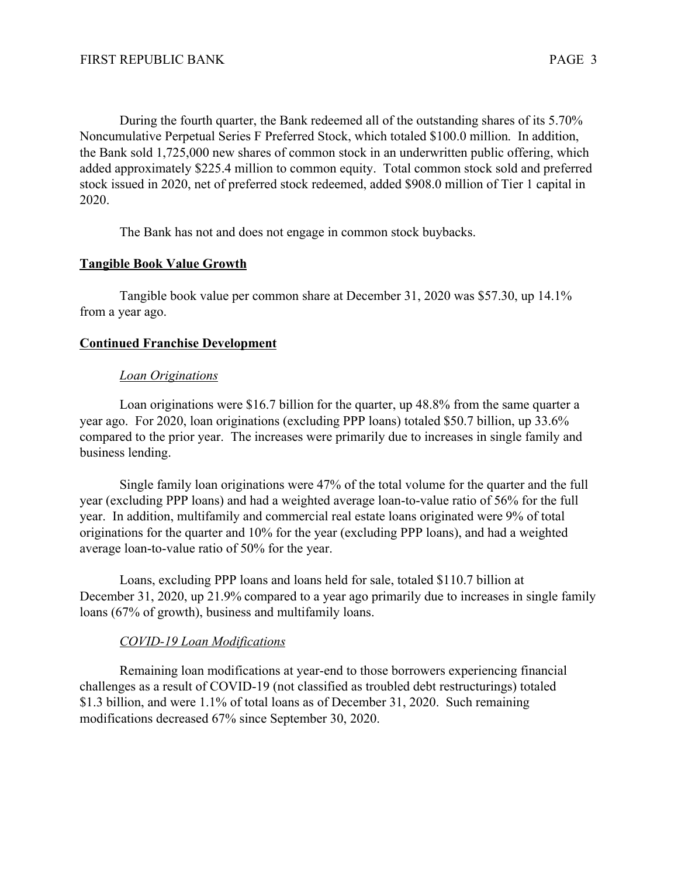During the fourth quarter, the Bank redeemed all of the outstanding shares of its 5.70% Noncumulative Perpetual Series F Preferred Stock, which totaled \$100.0 million. In addition, the Bank sold 1,725,000 new shares of common stock in an underwritten public offering, which added approximately \$225.4 million to common equity. Total common stock sold and preferred stock issued in 2020, net of preferred stock redeemed, added \$908.0 million of Tier 1 capital in 2020.

The Bank has not and does not engage in common stock buybacks.

## **Tangible Book Value Growth**

Tangible book value per common share at December 31, 2020 was \$57.30, up 14.1% from a year ago.

## **Continued Franchise Development**

## *Loan Originations*

 Loan originations were \$16.7 billion for the quarter, up 48.8% from the same quarter a year ago. For 2020, loan originations (excluding PPP loans) totaled \$50.7 billion, up 33.6% compared to the prior year. The increases were primarily due to increases in single family and business lending.

Single family loan originations were 47% of the total volume for the quarter and the full year (excluding PPP loans) and had a weighted average loan-to-value ratio of 56% for the full year. In addition, multifamily and commercial real estate loans originated were 9% of total originations for the quarter and 10% for the year (excluding PPP loans), and had a weighted average loan-to-value ratio of 50% for the year.

 Loans, excluding PPP loans and loans held for sale, totaled \$110.7 billion at December 31, 2020, up 21.9% compared to a year ago primarily due to increases in single family loans (67% of growth), business and multifamily loans.

## *COVID-19 Loan Modifications*

Remaining loan modifications at year-end to those borrowers experiencing financial challenges as a result of COVID-19 (not classified as troubled debt restructurings) totaled \$1.3 billion, and were 1.1% of total loans as of December 31, 2020. Such remaining modifications decreased 67% since September 30, 2020.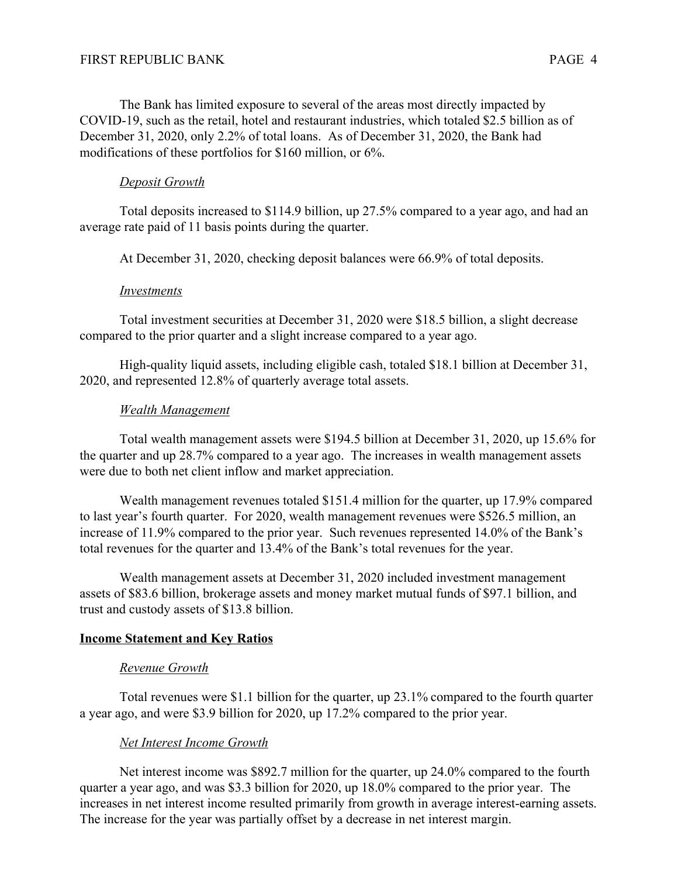The Bank has limited exposure to several of the areas most directly impacted by COVID-19, such as the retail, hotel and restaurant industries, which totaled \$2.5 billion as of December 31, 2020, only 2.2% of total loans. As of December 31, 2020, the Bank had modifications of these portfolios for \$160 million, or 6%.

## *Deposit Growth*

Total deposits increased to \$114.9 billion, up 27.5% compared to a year ago, and had an average rate paid of 11 basis points during the quarter.

At December 31, 2020, checking deposit balances were 66.9% of total deposits.

## *Investments*

 Total investment securities at December 31, 2020 were \$18.5 billion, a slight decrease compared to the prior quarter and a slight increase compared to a year ago.

 High-quality liquid assets, including eligible cash, totaled \$18.1 billion at December 31, 2020, and represented 12.8% of quarterly average total assets.

## *Wealth Management*

Total wealth management assets were \$194.5 billion at December 31, 2020, up 15.6% for the quarter and up 28.7% compared to a year ago. The increases in wealth management assets were due to both net client inflow and market appreciation.

Wealth management revenues totaled \$151.4 million for the quarter, up 17.9% compared to last year's fourth quarter. For 2020, wealth management revenues were \$526.5 million, an increase of 11.9% compared to the prior year. Such revenues represented 14.0% of the Bank's total revenues for the quarter and 13.4% of the Bank's total revenues for the year.

Wealth management assets at December 31, 2020 included investment management assets of \$83.6 billion, brokerage assets and money market mutual funds of \$97.1 billion, and trust and custody assets of \$13.8 billion.

## **Income Statement and Key Ratios**

## *Revenue Growth*

Total revenues were \$1.1 billion for the quarter, up 23.1% compared to the fourth quarter a year ago, and were \$3.9 billion for 2020, up 17.2% compared to the prior year.

## *Net Interest Income Growth*

Net interest income was \$892.7 million for the quarter, up 24.0% compared to the fourth quarter a year ago, and was \$3.3 billion for 2020, up 18.0% compared to the prior year. The increases in net interest income resulted primarily from growth in average interest-earning assets. The increase for the year was partially offset by a decrease in net interest margin.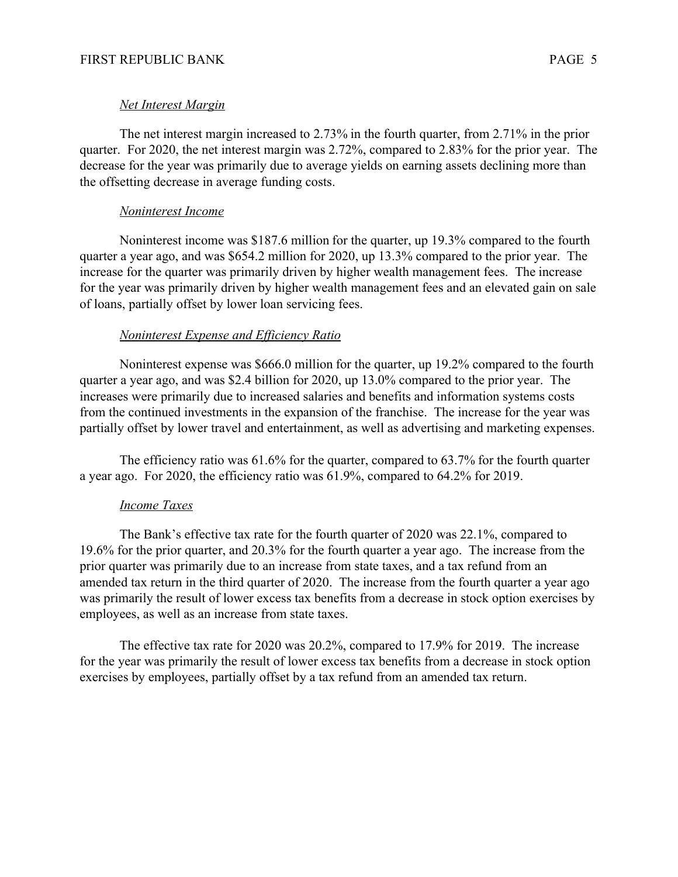#### *Net Interest Margin*

The net interest margin increased to 2.73% in the fourth quarter, from 2.71% in the prior quarter. For 2020, the net interest margin was 2.72%, compared to 2.83% for the prior year. The decrease for the year was primarily due to average yields on earning assets declining more than the offsetting decrease in average funding costs.

#### *Noninterest Income*

Noninterest income was \$187.6 million for the quarter, up 19.3% compared to the fourth quarter a year ago, and was \$654.2 million for 2020, up 13.3% compared to the prior year. The increase for the quarter was primarily driven by higher wealth management fees. The increase for the year was primarily driven by higher wealth management fees and an elevated gain on sale of loans, partially offset by lower loan servicing fees.

#### *Noninterest Expense and Efficiency Ratio*

Noninterest expense was \$666.0 million for the quarter, up 19.2% compared to the fourth quarter a year ago, and was \$2.4 billion for 2020, up 13.0% compared to the prior year. The increases were primarily due to increased salaries and benefits and information systems costs from the continued investments in the expansion of the franchise. The increase for the year was partially offset by lower travel and entertainment, as well as advertising and marketing expenses.

The efficiency ratio was 61.6% for the quarter, compared to 63.7% for the fourth quarter a year ago. For 2020, the efficiency ratio was 61.9%, compared to 64.2% for 2019.

#### *Income Taxes*

 The Bank's effective tax rate for the fourth quarter of 2020 was 22.1%, compared to 19.6% for the prior quarter, and 20.3% for the fourth quarter a year ago. The increase from the prior quarter was primarily due to an increase from state taxes, and a tax refund from an amended tax return in the third quarter of 2020. The increase from the fourth quarter a year ago was primarily the result of lower excess tax benefits from a decrease in stock option exercises by employees, as well as an increase from state taxes.

The effective tax rate for 2020 was 20.2%, compared to 17.9% for 2019. The increase for the year was primarily the result of lower excess tax benefits from a decrease in stock option exercises by employees, partially offset by a tax refund from an amended tax return.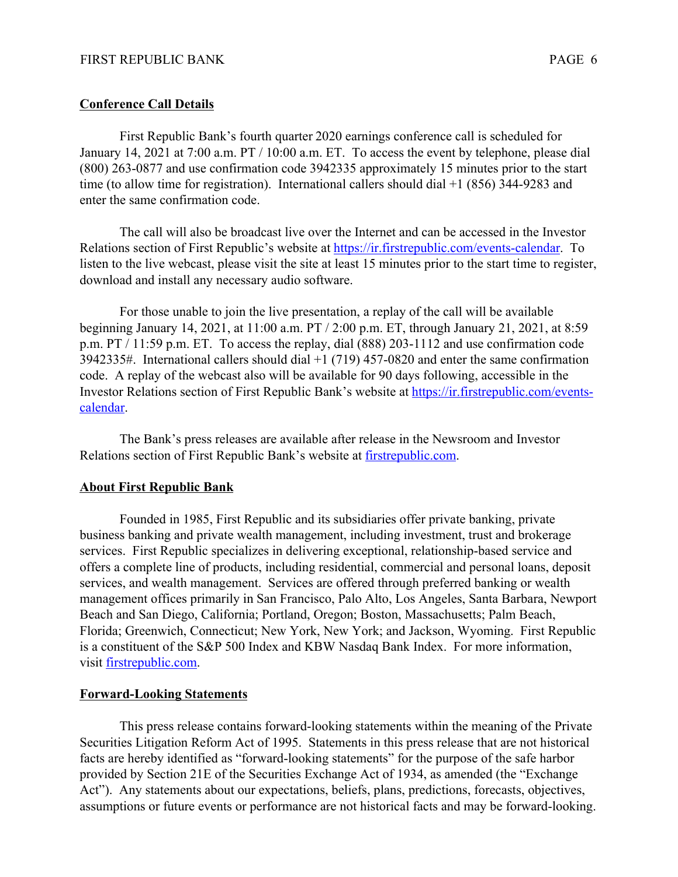#### **Conference Call Details**

First Republic Bank's fourth quarter 2020 earnings conference call is scheduled for January 14, 2021 at 7:00 a.m. PT / 10:00 a.m. ET. To access the event by telephone, please dial (800) 263-0877 and use confirmation code 3942335 approximately 15 minutes prior to the start time (to allow time for registration). International callers should dial +1 (856) 344-9283 and enter the same confirmation code.

The call will also be broadcast live over the Internet and can be accessed in the Investor Relations section of First Republic's website at [https://ir.firstrepublic.com/events-calendar.](https://ir.firstrepublic.com/events-calendar) To listen to the live webcast, please visit the site at least 15 minutes prior to the start time to register, download and install any necessary audio software.

For those unable to join the live presentation, a replay of the call will be available beginning January 14, 2021, at 11:00 a.m. PT / 2:00 p.m. ET, through January 21, 2021, at 8:59 p.m. PT / 11:59 p.m. ET. To access the replay, dial (888) 203-1112 and use confirmation code 3942335#. International callers should dial +1 (719) 457-0820 and enter the same confirmation code. A replay of the webcast also will be available for 90 days following, accessible in the Investor Relations section of First Republic Bank's website at [https://ir.firstrepublic.com/events](https://ir.firstrepublic.com/events-calendar)[calendar.](https://ir.firstrepublic.com/events-calendar)

The Bank's press releases are available after release in the Newsroom and Investor Relations section of First Republic Bank's website at [firstrepublic.com](http://www.firstrepublic.com).

#### **About First Republic Bank**

 Founded in 1985, First Republic and its subsidiaries offer private banking, private business banking and private wealth management, including investment, trust and brokerage services. First Republic specializes in delivering exceptional, relationship-based service and offers a complete line of products, including residential, commercial and personal loans, deposit services, and wealth management. Services are offered through preferred banking or wealth management offices primarily in San Francisco, Palo Alto, Los Angeles, Santa Barbara, Newport Beach and San Diego, California; Portland, Oregon; Boston, Massachusetts; Palm Beach, Florida; Greenwich, Connecticut; New York, New York; and Jackson, Wyoming. First Republic is a constituent of the S&P 500 Index and KBW Nasdaq Bank Index. For more information, visit [firstrepublic.com.](http://www.firstrepublic.com)

### **Forward-Looking Statements**

This press release contains forward-looking statements within the meaning of the Private Securities Litigation Reform Act of 1995. Statements in this press release that are not historical facts are hereby identified as "forward-looking statements" for the purpose of the safe harbor provided by Section 21E of the Securities Exchange Act of 1934, as amended (the "Exchange Act"). Any statements about our expectations, beliefs, plans, predictions, forecasts, objectives, assumptions or future events or performance are not historical facts and may be forward-looking.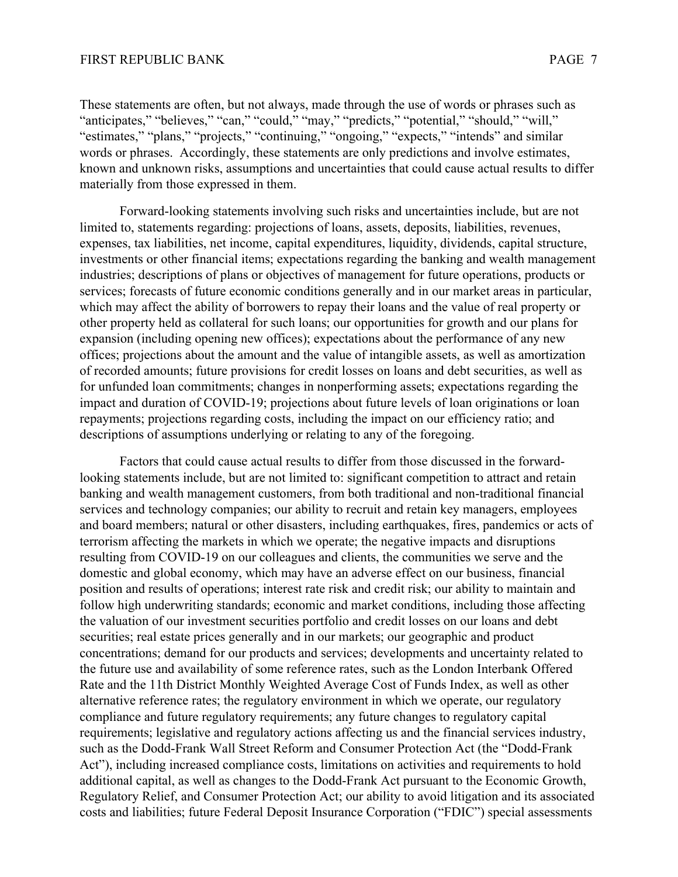These statements are often, but not always, made through the use of words or phrases such as "anticipates," "believes," "can," "could," "may," "predicts," "potential," "should," "will," "estimates," "plans," "projects," "continuing," "ongoing," "expects," "intends" and similar words or phrases. Accordingly, these statements are only predictions and involve estimates, known and unknown risks, assumptions and uncertainties that could cause actual results to differ materially from those expressed in them.

 Forward-looking statements involving such risks and uncertainties include, but are not limited to, statements regarding: projections of loans, assets, deposits, liabilities, revenues, expenses, tax liabilities, net income, capital expenditures, liquidity, dividends, capital structure, investments or other financial items; expectations regarding the banking and wealth management industries; descriptions of plans or objectives of management for future operations, products or services; forecasts of future economic conditions generally and in our market areas in particular, which may affect the ability of borrowers to repay their loans and the value of real property or other property held as collateral for such loans; our opportunities for growth and our plans for expansion (including opening new offices); expectations about the performance of any new offices; projections about the amount and the value of intangible assets, as well as amortization of recorded amounts; future provisions for credit losses on loans and debt securities, as well as for unfunded loan commitments; changes in nonperforming assets; expectations regarding the impact and duration of COVID-19; projections about future levels of loan originations or loan repayments; projections regarding costs, including the impact on our efficiency ratio; and descriptions of assumptions underlying or relating to any of the foregoing.

 Factors that could cause actual results to differ from those discussed in the forwardlooking statements include, but are not limited to: significant competition to attract and retain banking and wealth management customers, from both traditional and non-traditional financial services and technology companies; our ability to recruit and retain key managers, employees and board members; natural or other disasters, including earthquakes, fires, pandemics or acts of terrorism affecting the markets in which we operate; the negative impacts and disruptions resulting from COVID-19 on our colleagues and clients, the communities we serve and the domestic and global economy, which may have an adverse effect on our business, financial position and results of operations; interest rate risk and credit risk; our ability to maintain and follow high underwriting standards; economic and market conditions, including those affecting the valuation of our investment securities portfolio and credit losses on our loans and debt securities; real estate prices generally and in our markets; our geographic and product concentrations; demand for our products and services; developments and uncertainty related to the future use and availability of some reference rates, such as the London Interbank Offered Rate and the 11th District Monthly Weighted Average Cost of Funds Index, as well as other alternative reference rates; the regulatory environment in which we operate, our regulatory compliance and future regulatory requirements; any future changes to regulatory capital requirements; legislative and regulatory actions affecting us and the financial services industry, such as the Dodd-Frank Wall Street Reform and Consumer Protection Act (the "Dodd-Frank Act"), including increased compliance costs, limitations on activities and requirements to hold additional capital, as well as changes to the Dodd-Frank Act pursuant to the Economic Growth, Regulatory Relief, and Consumer Protection Act; our ability to avoid litigation and its associated costs and liabilities; future Federal Deposit Insurance Corporation ("FDIC") special assessments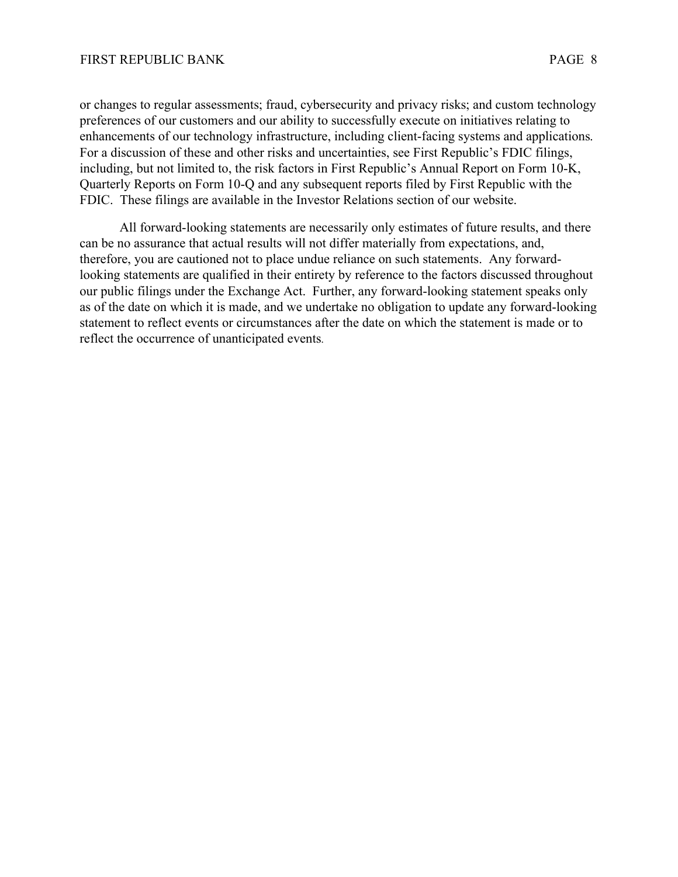or changes to regular assessments; fraud, cybersecurity and privacy risks; and custom technology preferences of our customers and our ability to successfully execute on initiatives relating to enhancements of our technology infrastructure, including client-facing systems and applications. For a discussion of these and other risks and uncertainties, see First Republic's FDIC filings, including, but not limited to, the risk factors in First Republic's Annual Report on Form 10-K, Quarterly Reports on Form 10-Q and any subsequent reports filed by First Republic with the FDIC. These filings are available in the Investor Relations section of our website.

All forward-looking statements are necessarily only estimates of future results, and there can be no assurance that actual results will not differ materially from expectations, and, therefore, you are cautioned not to place undue reliance on such statements. Any forwardlooking statements are qualified in their entirety by reference to the factors discussed throughout our public filings under the Exchange Act. Further, any forward-looking statement speaks only as of the date on which it is made, and we undertake no obligation to update any forward-looking statement to reflect events or circumstances after the date on which the statement is made or to reflect the occurrence of unanticipated events.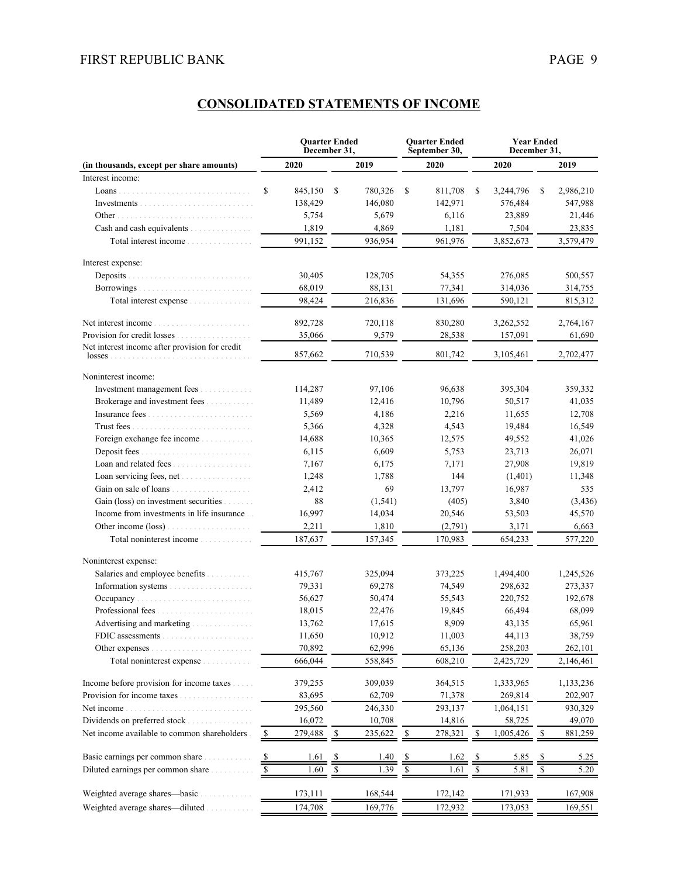| 2020<br>2019<br>2020<br>2020<br>2019<br>(in thousands, except per share amounts)<br>Interest income:<br>\$<br>845,150<br>S.<br>780,326<br>\$<br>811,708<br>\$<br>3,244,796<br>\$<br>2,986,210<br>138,429<br>146,080<br>142,971<br>576,484<br>547,988<br>5,754<br>5,679<br>6,116<br>23,889<br>21,446<br>Cash and cash equivalents<br>1,819<br>1,181<br>4,869<br>7,504<br>23,835<br>991,152<br>936,954<br>961,976<br>3,852,673<br>3,579,479<br>Total interest income<br>Interest expense:<br>Deposits<br>30,405<br>128,705<br>54,355<br>276,085<br>500,557<br>68,019<br>88,131<br>77,341<br>314,036<br>314,755<br>98,424<br>216,836<br>131,696<br>590,121<br>815,312<br>Total interest expense<br>892,728<br>720,118<br>3,262,552<br>2,764,167<br>830,280<br>35,066<br>9,579<br>157,091<br>28,538<br>61,690<br>Net interest income after provision for credit<br>857,662<br>710.539<br>801,742<br>2,702,477<br>3,105,461<br>$losses$<br>Noninterest income:<br>Investment management fees<br>114,287<br>97,106<br>96,638<br>395,304<br>359,332<br>Brokerage and investment fees<br>11,489<br>12,416<br>10,796<br>50,517<br>41,035<br>2,216<br>5,569<br>4,186<br>11,655<br>12,708<br>4,543<br>16,549<br>5,366<br>4,328<br>19,484<br>Foreign exchange fee income<br>14,688<br>10,365<br>12,575<br>49,552<br>41,026<br>Deposit fees.<br>6,115<br>6,609<br>5,753<br>23,713<br>26,071<br>Loan and related fees<br>19,819<br>7,167<br>6,175<br>7,171<br>27,908<br>144<br>1,248<br>1,788<br>(1,401)<br>11,348<br>69<br>13,797<br>16,987<br>2,412<br>535<br>Gain (loss) on investment securities<br>88<br>(1, 541)<br>(405)<br>3,840<br>(3,436)<br>Income from investments in life insurance<br>16,997<br>14,034<br>20,546<br>45,570<br>53,503<br>Other income (loss)<br>2,211<br>1,810<br>(2,791)<br>3,171<br>6,663<br>187,637<br>170,983<br>577,220<br>Total noninterest income<br>157,345<br>654,233<br>Noninterest expense:<br>Salaries and employee benefits<br>415,767<br>325,094<br>373,225<br>1,494,400<br>1,245,526<br>79,331<br>69,278<br>74,549<br>298,632<br>273,337<br>56,627<br>50,474<br>55,543<br>220,752<br>192,678<br>18,015<br>22,476<br>19,845<br>66,494<br>68,099<br>Advertising and marketing <i>marketing</i><br>8,909<br>65,961<br>13,762<br>17,615<br>43,135<br>10,912<br>11,650<br>11,003<br>38,759<br>44,113<br>FDIC assessments<br>.<br>70,892<br>62,996<br>65,136<br>258,203<br>262,101<br>Other expenses<br>666,044<br>558,845<br>608,210<br>2,425,729<br>2,146,461<br>Total noninterest expense<br>Income before provision for income taxes<br>309,039<br>379,255<br>364,515<br>1,333,965<br>1,133,236<br>Provision for income taxes.<br>62,709<br>71,378<br>83,695<br>269,814<br>202,907<br>293,137<br>295,560<br>246,330<br>930,329<br>Net income.<br>1,064,151<br>Dividends on preferred stock<br>16,072<br>10,708<br>14,816<br>58,725<br>49,070<br>Net income available to common shareholders.<br>$\mathbb{S}$<br>279,488<br>235,622<br>278,321<br>\$<br>1,005,426<br>$\frac{1}{2}$<br>881,259<br>\$<br>\$<br>Basic earnings per common share.<br>1.61<br>1.40<br>1.62<br>5.85<br>5.25<br>$\frac{\mathsf{s}}{\mathsf{s}}$<br><u>s</u><br>$\frac{8}{2}$<br>$\overline{\mathcal{L}}$<br>$\overline{\mathcal{E}}$<br>Diluted earnings per common share<br>$\sqrt{\frac{2}{5}}$<br>1.39<br>5.81<br>1.60<br>1.61<br>$\mathcal{S}$<br>$\frac{\mathcal{S}}{\mathcal{S}}$<br>\$<br>-S<br>5.20<br>Weighted average shares—basic<br>167,908<br>173,111<br>168,544<br>172,142<br>171,933<br>Weighted average shares-diluted.<br>174,708<br>169,776<br>172,932<br>173,053<br>169,551 |  | <b>Quarter Ended</b><br>December 31, |  | <b>Ouarter Ended</b><br>September 30, | <b>Year Ended</b><br>December 31, |  |  |  |  |
|----------------------------------------------------------------------------------------------------------------------------------------------------------------------------------------------------------------------------------------------------------------------------------------------------------------------------------------------------------------------------------------------------------------------------------------------------------------------------------------------------------------------------------------------------------------------------------------------------------------------------------------------------------------------------------------------------------------------------------------------------------------------------------------------------------------------------------------------------------------------------------------------------------------------------------------------------------------------------------------------------------------------------------------------------------------------------------------------------------------------------------------------------------------------------------------------------------------------------------------------------------------------------------------------------------------------------------------------------------------------------------------------------------------------------------------------------------------------------------------------------------------------------------------------------------------------------------------------------------------------------------------------------------------------------------------------------------------------------------------------------------------------------------------------------------------------------------------------------------------------------------------------------------------------------------------------------------------------------------------------------------------------------------------------------------------------------------------------------------------------------------------------------------------------------------------------------------------------------------------------------------------------------------------------------------------------------------------------------------------------------------------------------------------------------------------------------------------------------------------------------------------------------------------------------------------------------------------------------------------------------------------------------------------------------------------------------------------------------------------------------------------------------------------------------------------------------------------------------------------------------------------------------------------------------------------------------------------------------------------------------------------------------------------------------------------------------------------------------------------------------------------------------------------------------------------------------------------------------------------------------------------------------------------------------------------------------------------------------------------------------------------------------------------------------------------------------------------------------------------------------------------------------------------------------------------------------------------------------|--|--------------------------------------|--|---------------------------------------|-----------------------------------|--|--|--|--|
|                                                                                                                                                                                                                                                                                                                                                                                                                                                                                                                                                                                                                                                                                                                                                                                                                                                                                                                                                                                                                                                                                                                                                                                                                                                                                                                                                                                                                                                                                                                                                                                                                                                                                                                                                                                                                                                                                                                                                                                                                                                                                                                                                                                                                                                                                                                                                                                                                                                                                                                                                                                                                                                                                                                                                                                                                                                                                                                                                                                                                                                                                                                                                                                                                                                                                                                                                                                                                                                                                                                                                                                                    |  |                                      |  |                                       |                                   |  |  |  |  |
|                                                                                                                                                                                                                                                                                                                                                                                                                                                                                                                                                                                                                                                                                                                                                                                                                                                                                                                                                                                                                                                                                                                                                                                                                                                                                                                                                                                                                                                                                                                                                                                                                                                                                                                                                                                                                                                                                                                                                                                                                                                                                                                                                                                                                                                                                                                                                                                                                                                                                                                                                                                                                                                                                                                                                                                                                                                                                                                                                                                                                                                                                                                                                                                                                                                                                                                                                                                                                                                                                                                                                                                                    |  |                                      |  |                                       |                                   |  |  |  |  |
|                                                                                                                                                                                                                                                                                                                                                                                                                                                                                                                                                                                                                                                                                                                                                                                                                                                                                                                                                                                                                                                                                                                                                                                                                                                                                                                                                                                                                                                                                                                                                                                                                                                                                                                                                                                                                                                                                                                                                                                                                                                                                                                                                                                                                                                                                                                                                                                                                                                                                                                                                                                                                                                                                                                                                                                                                                                                                                                                                                                                                                                                                                                                                                                                                                                                                                                                                                                                                                                                                                                                                                                                    |  |                                      |  |                                       |                                   |  |  |  |  |
|                                                                                                                                                                                                                                                                                                                                                                                                                                                                                                                                                                                                                                                                                                                                                                                                                                                                                                                                                                                                                                                                                                                                                                                                                                                                                                                                                                                                                                                                                                                                                                                                                                                                                                                                                                                                                                                                                                                                                                                                                                                                                                                                                                                                                                                                                                                                                                                                                                                                                                                                                                                                                                                                                                                                                                                                                                                                                                                                                                                                                                                                                                                                                                                                                                                                                                                                                                                                                                                                                                                                                                                                    |  |                                      |  |                                       |                                   |  |  |  |  |
|                                                                                                                                                                                                                                                                                                                                                                                                                                                                                                                                                                                                                                                                                                                                                                                                                                                                                                                                                                                                                                                                                                                                                                                                                                                                                                                                                                                                                                                                                                                                                                                                                                                                                                                                                                                                                                                                                                                                                                                                                                                                                                                                                                                                                                                                                                                                                                                                                                                                                                                                                                                                                                                                                                                                                                                                                                                                                                                                                                                                                                                                                                                                                                                                                                                                                                                                                                                                                                                                                                                                                                                                    |  |                                      |  |                                       |                                   |  |  |  |  |
|                                                                                                                                                                                                                                                                                                                                                                                                                                                                                                                                                                                                                                                                                                                                                                                                                                                                                                                                                                                                                                                                                                                                                                                                                                                                                                                                                                                                                                                                                                                                                                                                                                                                                                                                                                                                                                                                                                                                                                                                                                                                                                                                                                                                                                                                                                                                                                                                                                                                                                                                                                                                                                                                                                                                                                                                                                                                                                                                                                                                                                                                                                                                                                                                                                                                                                                                                                                                                                                                                                                                                                                                    |  |                                      |  |                                       |                                   |  |  |  |  |
|                                                                                                                                                                                                                                                                                                                                                                                                                                                                                                                                                                                                                                                                                                                                                                                                                                                                                                                                                                                                                                                                                                                                                                                                                                                                                                                                                                                                                                                                                                                                                                                                                                                                                                                                                                                                                                                                                                                                                                                                                                                                                                                                                                                                                                                                                                                                                                                                                                                                                                                                                                                                                                                                                                                                                                                                                                                                                                                                                                                                                                                                                                                                                                                                                                                                                                                                                                                                                                                                                                                                                                                                    |  |                                      |  |                                       |                                   |  |  |  |  |
|                                                                                                                                                                                                                                                                                                                                                                                                                                                                                                                                                                                                                                                                                                                                                                                                                                                                                                                                                                                                                                                                                                                                                                                                                                                                                                                                                                                                                                                                                                                                                                                                                                                                                                                                                                                                                                                                                                                                                                                                                                                                                                                                                                                                                                                                                                                                                                                                                                                                                                                                                                                                                                                                                                                                                                                                                                                                                                                                                                                                                                                                                                                                                                                                                                                                                                                                                                                                                                                                                                                                                                                                    |  |                                      |  |                                       |                                   |  |  |  |  |
|                                                                                                                                                                                                                                                                                                                                                                                                                                                                                                                                                                                                                                                                                                                                                                                                                                                                                                                                                                                                                                                                                                                                                                                                                                                                                                                                                                                                                                                                                                                                                                                                                                                                                                                                                                                                                                                                                                                                                                                                                                                                                                                                                                                                                                                                                                                                                                                                                                                                                                                                                                                                                                                                                                                                                                                                                                                                                                                                                                                                                                                                                                                                                                                                                                                                                                                                                                                                                                                                                                                                                                                                    |  |                                      |  |                                       |                                   |  |  |  |  |
|                                                                                                                                                                                                                                                                                                                                                                                                                                                                                                                                                                                                                                                                                                                                                                                                                                                                                                                                                                                                                                                                                                                                                                                                                                                                                                                                                                                                                                                                                                                                                                                                                                                                                                                                                                                                                                                                                                                                                                                                                                                                                                                                                                                                                                                                                                                                                                                                                                                                                                                                                                                                                                                                                                                                                                                                                                                                                                                                                                                                                                                                                                                                                                                                                                                                                                                                                                                                                                                                                                                                                                                                    |  |                                      |  |                                       |                                   |  |  |  |  |
|                                                                                                                                                                                                                                                                                                                                                                                                                                                                                                                                                                                                                                                                                                                                                                                                                                                                                                                                                                                                                                                                                                                                                                                                                                                                                                                                                                                                                                                                                                                                                                                                                                                                                                                                                                                                                                                                                                                                                                                                                                                                                                                                                                                                                                                                                                                                                                                                                                                                                                                                                                                                                                                                                                                                                                                                                                                                                                                                                                                                                                                                                                                                                                                                                                                                                                                                                                                                                                                                                                                                                                                                    |  |                                      |  |                                       |                                   |  |  |  |  |
|                                                                                                                                                                                                                                                                                                                                                                                                                                                                                                                                                                                                                                                                                                                                                                                                                                                                                                                                                                                                                                                                                                                                                                                                                                                                                                                                                                                                                                                                                                                                                                                                                                                                                                                                                                                                                                                                                                                                                                                                                                                                                                                                                                                                                                                                                                                                                                                                                                                                                                                                                                                                                                                                                                                                                                                                                                                                                                                                                                                                                                                                                                                                                                                                                                                                                                                                                                                                                                                                                                                                                                                                    |  |                                      |  |                                       |                                   |  |  |  |  |
|                                                                                                                                                                                                                                                                                                                                                                                                                                                                                                                                                                                                                                                                                                                                                                                                                                                                                                                                                                                                                                                                                                                                                                                                                                                                                                                                                                                                                                                                                                                                                                                                                                                                                                                                                                                                                                                                                                                                                                                                                                                                                                                                                                                                                                                                                                                                                                                                                                                                                                                                                                                                                                                                                                                                                                                                                                                                                                                                                                                                                                                                                                                                                                                                                                                                                                                                                                                                                                                                                                                                                                                                    |  |                                      |  |                                       |                                   |  |  |  |  |
|                                                                                                                                                                                                                                                                                                                                                                                                                                                                                                                                                                                                                                                                                                                                                                                                                                                                                                                                                                                                                                                                                                                                                                                                                                                                                                                                                                                                                                                                                                                                                                                                                                                                                                                                                                                                                                                                                                                                                                                                                                                                                                                                                                                                                                                                                                                                                                                                                                                                                                                                                                                                                                                                                                                                                                                                                                                                                                                                                                                                                                                                                                                                                                                                                                                                                                                                                                                                                                                                                                                                                                                                    |  |                                      |  |                                       |                                   |  |  |  |  |
|                                                                                                                                                                                                                                                                                                                                                                                                                                                                                                                                                                                                                                                                                                                                                                                                                                                                                                                                                                                                                                                                                                                                                                                                                                                                                                                                                                                                                                                                                                                                                                                                                                                                                                                                                                                                                                                                                                                                                                                                                                                                                                                                                                                                                                                                                                                                                                                                                                                                                                                                                                                                                                                                                                                                                                                                                                                                                                                                                                                                                                                                                                                                                                                                                                                                                                                                                                                                                                                                                                                                                                                                    |  |                                      |  |                                       |                                   |  |  |  |  |
|                                                                                                                                                                                                                                                                                                                                                                                                                                                                                                                                                                                                                                                                                                                                                                                                                                                                                                                                                                                                                                                                                                                                                                                                                                                                                                                                                                                                                                                                                                                                                                                                                                                                                                                                                                                                                                                                                                                                                                                                                                                                                                                                                                                                                                                                                                                                                                                                                                                                                                                                                                                                                                                                                                                                                                                                                                                                                                                                                                                                                                                                                                                                                                                                                                                                                                                                                                                                                                                                                                                                                                                                    |  |                                      |  |                                       |                                   |  |  |  |  |
|                                                                                                                                                                                                                                                                                                                                                                                                                                                                                                                                                                                                                                                                                                                                                                                                                                                                                                                                                                                                                                                                                                                                                                                                                                                                                                                                                                                                                                                                                                                                                                                                                                                                                                                                                                                                                                                                                                                                                                                                                                                                                                                                                                                                                                                                                                                                                                                                                                                                                                                                                                                                                                                                                                                                                                                                                                                                                                                                                                                                                                                                                                                                                                                                                                                                                                                                                                                                                                                                                                                                                                                                    |  |                                      |  |                                       |                                   |  |  |  |  |
|                                                                                                                                                                                                                                                                                                                                                                                                                                                                                                                                                                                                                                                                                                                                                                                                                                                                                                                                                                                                                                                                                                                                                                                                                                                                                                                                                                                                                                                                                                                                                                                                                                                                                                                                                                                                                                                                                                                                                                                                                                                                                                                                                                                                                                                                                                                                                                                                                                                                                                                                                                                                                                                                                                                                                                                                                                                                                                                                                                                                                                                                                                                                                                                                                                                                                                                                                                                                                                                                                                                                                                                                    |  |                                      |  |                                       |                                   |  |  |  |  |
|                                                                                                                                                                                                                                                                                                                                                                                                                                                                                                                                                                                                                                                                                                                                                                                                                                                                                                                                                                                                                                                                                                                                                                                                                                                                                                                                                                                                                                                                                                                                                                                                                                                                                                                                                                                                                                                                                                                                                                                                                                                                                                                                                                                                                                                                                                                                                                                                                                                                                                                                                                                                                                                                                                                                                                                                                                                                                                                                                                                                                                                                                                                                                                                                                                                                                                                                                                                                                                                                                                                                                                                                    |  |                                      |  |                                       |                                   |  |  |  |  |
|                                                                                                                                                                                                                                                                                                                                                                                                                                                                                                                                                                                                                                                                                                                                                                                                                                                                                                                                                                                                                                                                                                                                                                                                                                                                                                                                                                                                                                                                                                                                                                                                                                                                                                                                                                                                                                                                                                                                                                                                                                                                                                                                                                                                                                                                                                                                                                                                                                                                                                                                                                                                                                                                                                                                                                                                                                                                                                                                                                                                                                                                                                                                                                                                                                                                                                                                                                                                                                                                                                                                                                                                    |  |                                      |  |                                       |                                   |  |  |  |  |
|                                                                                                                                                                                                                                                                                                                                                                                                                                                                                                                                                                                                                                                                                                                                                                                                                                                                                                                                                                                                                                                                                                                                                                                                                                                                                                                                                                                                                                                                                                                                                                                                                                                                                                                                                                                                                                                                                                                                                                                                                                                                                                                                                                                                                                                                                                                                                                                                                                                                                                                                                                                                                                                                                                                                                                                                                                                                                                                                                                                                                                                                                                                                                                                                                                                                                                                                                                                                                                                                                                                                                                                                    |  |                                      |  |                                       |                                   |  |  |  |  |
|                                                                                                                                                                                                                                                                                                                                                                                                                                                                                                                                                                                                                                                                                                                                                                                                                                                                                                                                                                                                                                                                                                                                                                                                                                                                                                                                                                                                                                                                                                                                                                                                                                                                                                                                                                                                                                                                                                                                                                                                                                                                                                                                                                                                                                                                                                                                                                                                                                                                                                                                                                                                                                                                                                                                                                                                                                                                                                                                                                                                                                                                                                                                                                                                                                                                                                                                                                                                                                                                                                                                                                                                    |  |                                      |  |                                       |                                   |  |  |  |  |
|                                                                                                                                                                                                                                                                                                                                                                                                                                                                                                                                                                                                                                                                                                                                                                                                                                                                                                                                                                                                                                                                                                                                                                                                                                                                                                                                                                                                                                                                                                                                                                                                                                                                                                                                                                                                                                                                                                                                                                                                                                                                                                                                                                                                                                                                                                                                                                                                                                                                                                                                                                                                                                                                                                                                                                                                                                                                                                                                                                                                                                                                                                                                                                                                                                                                                                                                                                                                                                                                                                                                                                                                    |  |                                      |  |                                       |                                   |  |  |  |  |
|                                                                                                                                                                                                                                                                                                                                                                                                                                                                                                                                                                                                                                                                                                                                                                                                                                                                                                                                                                                                                                                                                                                                                                                                                                                                                                                                                                                                                                                                                                                                                                                                                                                                                                                                                                                                                                                                                                                                                                                                                                                                                                                                                                                                                                                                                                                                                                                                                                                                                                                                                                                                                                                                                                                                                                                                                                                                                                                                                                                                                                                                                                                                                                                                                                                                                                                                                                                                                                                                                                                                                                                                    |  |                                      |  |                                       |                                   |  |  |  |  |
|                                                                                                                                                                                                                                                                                                                                                                                                                                                                                                                                                                                                                                                                                                                                                                                                                                                                                                                                                                                                                                                                                                                                                                                                                                                                                                                                                                                                                                                                                                                                                                                                                                                                                                                                                                                                                                                                                                                                                                                                                                                                                                                                                                                                                                                                                                                                                                                                                                                                                                                                                                                                                                                                                                                                                                                                                                                                                                                                                                                                                                                                                                                                                                                                                                                                                                                                                                                                                                                                                                                                                                                                    |  |                                      |  |                                       |                                   |  |  |  |  |
|                                                                                                                                                                                                                                                                                                                                                                                                                                                                                                                                                                                                                                                                                                                                                                                                                                                                                                                                                                                                                                                                                                                                                                                                                                                                                                                                                                                                                                                                                                                                                                                                                                                                                                                                                                                                                                                                                                                                                                                                                                                                                                                                                                                                                                                                                                                                                                                                                                                                                                                                                                                                                                                                                                                                                                                                                                                                                                                                                                                                                                                                                                                                                                                                                                                                                                                                                                                                                                                                                                                                                                                                    |  |                                      |  |                                       |                                   |  |  |  |  |
|                                                                                                                                                                                                                                                                                                                                                                                                                                                                                                                                                                                                                                                                                                                                                                                                                                                                                                                                                                                                                                                                                                                                                                                                                                                                                                                                                                                                                                                                                                                                                                                                                                                                                                                                                                                                                                                                                                                                                                                                                                                                                                                                                                                                                                                                                                                                                                                                                                                                                                                                                                                                                                                                                                                                                                                                                                                                                                                                                                                                                                                                                                                                                                                                                                                                                                                                                                                                                                                                                                                                                                                                    |  |                                      |  |                                       |                                   |  |  |  |  |
|                                                                                                                                                                                                                                                                                                                                                                                                                                                                                                                                                                                                                                                                                                                                                                                                                                                                                                                                                                                                                                                                                                                                                                                                                                                                                                                                                                                                                                                                                                                                                                                                                                                                                                                                                                                                                                                                                                                                                                                                                                                                                                                                                                                                                                                                                                                                                                                                                                                                                                                                                                                                                                                                                                                                                                                                                                                                                                                                                                                                                                                                                                                                                                                                                                                                                                                                                                                                                                                                                                                                                                                                    |  |                                      |  |                                       |                                   |  |  |  |  |
|                                                                                                                                                                                                                                                                                                                                                                                                                                                                                                                                                                                                                                                                                                                                                                                                                                                                                                                                                                                                                                                                                                                                                                                                                                                                                                                                                                                                                                                                                                                                                                                                                                                                                                                                                                                                                                                                                                                                                                                                                                                                                                                                                                                                                                                                                                                                                                                                                                                                                                                                                                                                                                                                                                                                                                                                                                                                                                                                                                                                                                                                                                                                                                                                                                                                                                                                                                                                                                                                                                                                                                                                    |  |                                      |  |                                       |                                   |  |  |  |  |
|                                                                                                                                                                                                                                                                                                                                                                                                                                                                                                                                                                                                                                                                                                                                                                                                                                                                                                                                                                                                                                                                                                                                                                                                                                                                                                                                                                                                                                                                                                                                                                                                                                                                                                                                                                                                                                                                                                                                                                                                                                                                                                                                                                                                                                                                                                                                                                                                                                                                                                                                                                                                                                                                                                                                                                                                                                                                                                                                                                                                                                                                                                                                                                                                                                                                                                                                                                                                                                                                                                                                                                                                    |  |                                      |  |                                       |                                   |  |  |  |  |
|                                                                                                                                                                                                                                                                                                                                                                                                                                                                                                                                                                                                                                                                                                                                                                                                                                                                                                                                                                                                                                                                                                                                                                                                                                                                                                                                                                                                                                                                                                                                                                                                                                                                                                                                                                                                                                                                                                                                                                                                                                                                                                                                                                                                                                                                                                                                                                                                                                                                                                                                                                                                                                                                                                                                                                                                                                                                                                                                                                                                                                                                                                                                                                                                                                                                                                                                                                                                                                                                                                                                                                                                    |  |                                      |  |                                       |                                   |  |  |  |  |
|                                                                                                                                                                                                                                                                                                                                                                                                                                                                                                                                                                                                                                                                                                                                                                                                                                                                                                                                                                                                                                                                                                                                                                                                                                                                                                                                                                                                                                                                                                                                                                                                                                                                                                                                                                                                                                                                                                                                                                                                                                                                                                                                                                                                                                                                                                                                                                                                                                                                                                                                                                                                                                                                                                                                                                                                                                                                                                                                                                                                                                                                                                                                                                                                                                                                                                                                                                                                                                                                                                                                                                                                    |  |                                      |  |                                       |                                   |  |  |  |  |
|                                                                                                                                                                                                                                                                                                                                                                                                                                                                                                                                                                                                                                                                                                                                                                                                                                                                                                                                                                                                                                                                                                                                                                                                                                                                                                                                                                                                                                                                                                                                                                                                                                                                                                                                                                                                                                                                                                                                                                                                                                                                                                                                                                                                                                                                                                                                                                                                                                                                                                                                                                                                                                                                                                                                                                                                                                                                                                                                                                                                                                                                                                                                                                                                                                                                                                                                                                                                                                                                                                                                                                                                    |  |                                      |  |                                       |                                   |  |  |  |  |
|                                                                                                                                                                                                                                                                                                                                                                                                                                                                                                                                                                                                                                                                                                                                                                                                                                                                                                                                                                                                                                                                                                                                                                                                                                                                                                                                                                                                                                                                                                                                                                                                                                                                                                                                                                                                                                                                                                                                                                                                                                                                                                                                                                                                                                                                                                                                                                                                                                                                                                                                                                                                                                                                                                                                                                                                                                                                                                                                                                                                                                                                                                                                                                                                                                                                                                                                                                                                                                                                                                                                                                                                    |  |                                      |  |                                       |                                   |  |  |  |  |
|                                                                                                                                                                                                                                                                                                                                                                                                                                                                                                                                                                                                                                                                                                                                                                                                                                                                                                                                                                                                                                                                                                                                                                                                                                                                                                                                                                                                                                                                                                                                                                                                                                                                                                                                                                                                                                                                                                                                                                                                                                                                                                                                                                                                                                                                                                                                                                                                                                                                                                                                                                                                                                                                                                                                                                                                                                                                                                                                                                                                                                                                                                                                                                                                                                                                                                                                                                                                                                                                                                                                                                                                    |  |                                      |  |                                       |                                   |  |  |  |  |
|                                                                                                                                                                                                                                                                                                                                                                                                                                                                                                                                                                                                                                                                                                                                                                                                                                                                                                                                                                                                                                                                                                                                                                                                                                                                                                                                                                                                                                                                                                                                                                                                                                                                                                                                                                                                                                                                                                                                                                                                                                                                                                                                                                                                                                                                                                                                                                                                                                                                                                                                                                                                                                                                                                                                                                                                                                                                                                                                                                                                                                                                                                                                                                                                                                                                                                                                                                                                                                                                                                                                                                                                    |  |                                      |  |                                       |                                   |  |  |  |  |
|                                                                                                                                                                                                                                                                                                                                                                                                                                                                                                                                                                                                                                                                                                                                                                                                                                                                                                                                                                                                                                                                                                                                                                                                                                                                                                                                                                                                                                                                                                                                                                                                                                                                                                                                                                                                                                                                                                                                                                                                                                                                                                                                                                                                                                                                                                                                                                                                                                                                                                                                                                                                                                                                                                                                                                                                                                                                                                                                                                                                                                                                                                                                                                                                                                                                                                                                                                                                                                                                                                                                                                                                    |  |                                      |  |                                       |                                   |  |  |  |  |
|                                                                                                                                                                                                                                                                                                                                                                                                                                                                                                                                                                                                                                                                                                                                                                                                                                                                                                                                                                                                                                                                                                                                                                                                                                                                                                                                                                                                                                                                                                                                                                                                                                                                                                                                                                                                                                                                                                                                                                                                                                                                                                                                                                                                                                                                                                                                                                                                                                                                                                                                                                                                                                                                                                                                                                                                                                                                                                                                                                                                                                                                                                                                                                                                                                                                                                                                                                                                                                                                                                                                                                                                    |  |                                      |  |                                       |                                   |  |  |  |  |
|                                                                                                                                                                                                                                                                                                                                                                                                                                                                                                                                                                                                                                                                                                                                                                                                                                                                                                                                                                                                                                                                                                                                                                                                                                                                                                                                                                                                                                                                                                                                                                                                                                                                                                                                                                                                                                                                                                                                                                                                                                                                                                                                                                                                                                                                                                                                                                                                                                                                                                                                                                                                                                                                                                                                                                                                                                                                                                                                                                                                                                                                                                                                                                                                                                                                                                                                                                                                                                                                                                                                                                                                    |  |                                      |  |                                       |                                   |  |  |  |  |
|                                                                                                                                                                                                                                                                                                                                                                                                                                                                                                                                                                                                                                                                                                                                                                                                                                                                                                                                                                                                                                                                                                                                                                                                                                                                                                                                                                                                                                                                                                                                                                                                                                                                                                                                                                                                                                                                                                                                                                                                                                                                                                                                                                                                                                                                                                                                                                                                                                                                                                                                                                                                                                                                                                                                                                                                                                                                                                                                                                                                                                                                                                                                                                                                                                                                                                                                                                                                                                                                                                                                                                                                    |  |                                      |  |                                       |                                   |  |  |  |  |
|                                                                                                                                                                                                                                                                                                                                                                                                                                                                                                                                                                                                                                                                                                                                                                                                                                                                                                                                                                                                                                                                                                                                                                                                                                                                                                                                                                                                                                                                                                                                                                                                                                                                                                                                                                                                                                                                                                                                                                                                                                                                                                                                                                                                                                                                                                                                                                                                                                                                                                                                                                                                                                                                                                                                                                                                                                                                                                                                                                                                                                                                                                                                                                                                                                                                                                                                                                                                                                                                                                                                                                                                    |  |                                      |  |                                       |                                   |  |  |  |  |
|                                                                                                                                                                                                                                                                                                                                                                                                                                                                                                                                                                                                                                                                                                                                                                                                                                                                                                                                                                                                                                                                                                                                                                                                                                                                                                                                                                                                                                                                                                                                                                                                                                                                                                                                                                                                                                                                                                                                                                                                                                                                                                                                                                                                                                                                                                                                                                                                                                                                                                                                                                                                                                                                                                                                                                                                                                                                                                                                                                                                                                                                                                                                                                                                                                                                                                                                                                                                                                                                                                                                                                                                    |  |                                      |  |                                       |                                   |  |  |  |  |
|                                                                                                                                                                                                                                                                                                                                                                                                                                                                                                                                                                                                                                                                                                                                                                                                                                                                                                                                                                                                                                                                                                                                                                                                                                                                                                                                                                                                                                                                                                                                                                                                                                                                                                                                                                                                                                                                                                                                                                                                                                                                                                                                                                                                                                                                                                                                                                                                                                                                                                                                                                                                                                                                                                                                                                                                                                                                                                                                                                                                                                                                                                                                                                                                                                                                                                                                                                                                                                                                                                                                                                                                    |  |                                      |  |                                       |                                   |  |  |  |  |
|                                                                                                                                                                                                                                                                                                                                                                                                                                                                                                                                                                                                                                                                                                                                                                                                                                                                                                                                                                                                                                                                                                                                                                                                                                                                                                                                                                                                                                                                                                                                                                                                                                                                                                                                                                                                                                                                                                                                                                                                                                                                                                                                                                                                                                                                                                                                                                                                                                                                                                                                                                                                                                                                                                                                                                                                                                                                                                                                                                                                                                                                                                                                                                                                                                                                                                                                                                                                                                                                                                                                                                                                    |  |                                      |  |                                       |                                   |  |  |  |  |
|                                                                                                                                                                                                                                                                                                                                                                                                                                                                                                                                                                                                                                                                                                                                                                                                                                                                                                                                                                                                                                                                                                                                                                                                                                                                                                                                                                                                                                                                                                                                                                                                                                                                                                                                                                                                                                                                                                                                                                                                                                                                                                                                                                                                                                                                                                                                                                                                                                                                                                                                                                                                                                                                                                                                                                                                                                                                                                                                                                                                                                                                                                                                                                                                                                                                                                                                                                                                                                                                                                                                                                                                    |  |                                      |  |                                       |                                   |  |  |  |  |
|                                                                                                                                                                                                                                                                                                                                                                                                                                                                                                                                                                                                                                                                                                                                                                                                                                                                                                                                                                                                                                                                                                                                                                                                                                                                                                                                                                                                                                                                                                                                                                                                                                                                                                                                                                                                                                                                                                                                                                                                                                                                                                                                                                                                                                                                                                                                                                                                                                                                                                                                                                                                                                                                                                                                                                                                                                                                                                                                                                                                                                                                                                                                                                                                                                                                                                                                                                                                                                                                                                                                                                                                    |  |                                      |  |                                       |                                   |  |  |  |  |

## **CONSOLIDATED STATEMENTS OF INCOME**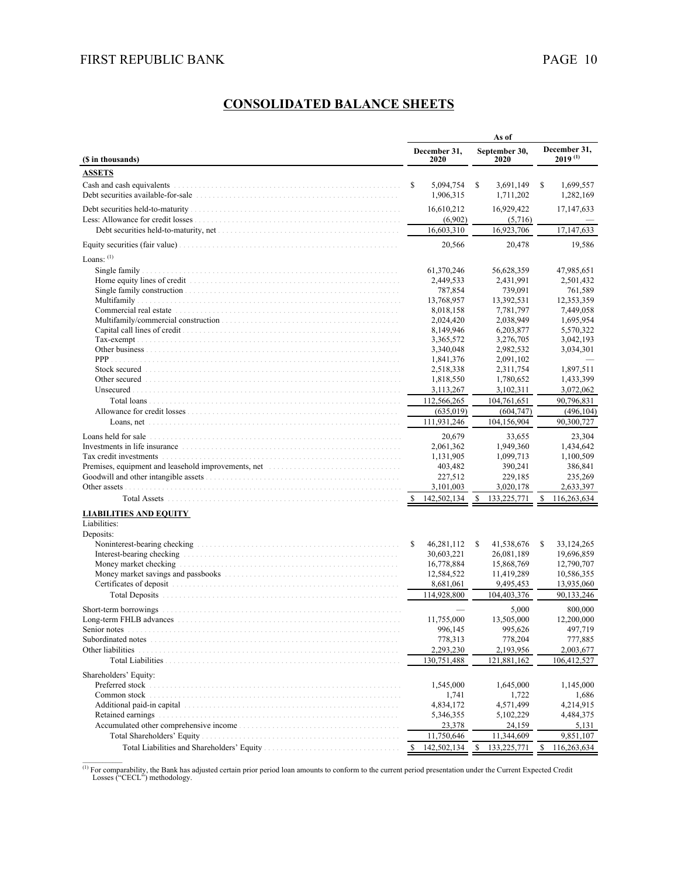## **CONSOLIDATED BALANCE SHEETS**

|                                                                                                                                                                                                                                |    |                                     |    | As of                               |    |                              |
|--------------------------------------------------------------------------------------------------------------------------------------------------------------------------------------------------------------------------------|----|-------------------------------------|----|-------------------------------------|----|------------------------------|
| (\$ in thousands)                                                                                                                                                                                                              |    | December 31,<br>2020                |    | September 30.<br>2020               |    | December 31,<br>$2019^{(1)}$ |
| <b>ASSETS</b>                                                                                                                                                                                                                  |    |                                     |    |                                     |    |                              |
| Cash and cash equivalents<br>Debt securities available-for-sale entertainment contains and the securities available-for-sale                                                                                                   | S  | 5,094,754<br>1,906,315              | \$ | 3,691,149<br>1,711,202              | S  | 1,699,557<br>1,282,169       |
|                                                                                                                                                                                                                                |    | 16,610,212<br>(6,902)<br>16,603,310 |    | 16,929,422<br>(5,716)<br>16,923,706 |    | 17,147,633<br>17, 147, 633   |
|                                                                                                                                                                                                                                |    | 20,566                              |    | 20,478                              |    | 19,586                       |
| Loans: $(1)$                                                                                                                                                                                                                   |    |                                     |    |                                     |    |                              |
|                                                                                                                                                                                                                                |    |                                     |    |                                     |    |                              |
|                                                                                                                                                                                                                                |    | 61,370,246                          |    | 56,628,359                          |    | 47,985,651                   |
|                                                                                                                                                                                                                                |    | 2,449,533<br>787,854                |    | 2,431,991<br>739,091                |    | 2,501,432<br>761,589         |
|                                                                                                                                                                                                                                |    | 13,768,957                          |    | 13,392,531                          |    | 12,353,359                   |
| Commercial real estate expansional contract to the state of the state of the state of the state of the state of the state of the state of the state of the state of the state of the state of the state of the state of the st |    | 8,018,158                           |    | 7,781,797                           |    | 7,449,058                    |
|                                                                                                                                                                                                                                |    | 2,024,420                           |    | 2,038,949                           |    | 1,695,954                    |
|                                                                                                                                                                                                                                |    | 8,149,946                           |    | 6,203,877                           |    | 5,570,322                    |
|                                                                                                                                                                                                                                |    | 3,365,572                           |    | 3,276,705                           |    | 3,042,193                    |
|                                                                                                                                                                                                                                |    | 3,340,048                           |    | 2,982,532                           |    | 3,034,301                    |
| PPP                                                                                                                                                                                                                            |    | 1,841,376                           |    | 2,091,102                           |    |                              |
|                                                                                                                                                                                                                                |    | 2,518,338                           |    | 2,311,754                           |    | 1,897,511                    |
| Other secured entry and the continuum of the continuum of the continuum of the continuum of the continuum of the continuum of the continuum of the continuum of the continuum of the continuum of the continuum of the continu |    | 1,818,550                           |    | 1,780,652                           |    | 1,433,399                    |
| Unsecured.                                                                                                                                                                                                                     |    | 3,113,267                           |    | 3,102,311                           |    | 3,072,062                    |
| Total loans                                                                                                                                                                                                                    |    | 112,566,265                         |    | 104,761,651                         |    | 90,796,831                   |
|                                                                                                                                                                                                                                |    | (635, 019)                          |    | (604, 747)                          |    | (496, 104)                   |
|                                                                                                                                                                                                                                |    | 111,931,246                         |    | 104,156,904                         |    | 90,300,727                   |
| Loans held for sale encourage encourage entering the continuum of the continuum of the continuum of the continuum of the continuum of the continuum of the continuum of the continuum of the continuum of the continuum of the |    | 20,679                              |    | 33,655                              |    | 23,304                       |
| Investments in life insurance entrance the contract of the state of the state of the state of the state of the state of the state of the state of the state of the state of the state of the state of the state of the state o |    | 2,061,362                           |    | 1,949,360                           |    | 1,434,642                    |
|                                                                                                                                                                                                                                |    | 1,131,905                           |    | 1,099,713                           |    | 1,100,509                    |
| Premises, equipment and leasehold improvements, net entertainments of the state of the state of the state of the state of the state of the state of the state of the state of the state of the state of the state of the state |    | 403,482                             |    | 390,241                             |    | 386,841                      |
|                                                                                                                                                                                                                                |    | 227,512                             |    | 229,185                             |    | 235,269                      |
| Other assets                                                                                                                                                                                                                   |    | 3,101,003                           |    | 3,020,178                           |    | 2,633,397                    |
|                                                                                                                                                                                                                                |    | 142,502,134                         |    | 133,225,771                         |    | 116,263,634                  |
| <b>LIABILITIES AND EQUITY</b><br>Liabilities:                                                                                                                                                                                  |    |                                     |    |                                     |    |                              |
| Deposits:                                                                                                                                                                                                                      |    |                                     |    |                                     |    |                              |
|                                                                                                                                                                                                                                | \$ | 46,281,112                          | S  | 41,538,676                          | \$ | 33,124,265                   |
|                                                                                                                                                                                                                                |    | 30,603,221                          |    | 26,081,189                          |    | 19,696,859                   |
|                                                                                                                                                                                                                                |    | 16,778,884                          |    | 15,868,769                          |    | 12,790,707                   |
|                                                                                                                                                                                                                                |    | 12,584,522                          |    | 11,419,289                          |    | 10,586,355                   |
|                                                                                                                                                                                                                                |    | 8,681,061                           |    | 9,495,453                           |    | 13,935,060                   |
| <b>Total Deposits</b>                                                                                                                                                                                                          |    | 114,928,800                         |    | 104,403,376                         |    | 90,133,246                   |
| Short-term borrowings                                                                                                                                                                                                          |    |                                     |    | 5,000                               |    | 800,000                      |
| Long-term FHLB advances                                                                                                                                                                                                        |    | 11,755,000                          |    | 13,505,000                          |    | 12,200,000                   |
| Senior notes                                                                                                                                                                                                                   |    | 996,145                             |    | 995,626                             |    | 497,719                      |
| Subordinated notes                                                                                                                                                                                                             |    | 778,313                             |    | 778,204                             |    | 777,885                      |
| Other liabilities                                                                                                                                                                                                              |    | 2,293,230                           |    | 2,193,956                           |    | 2,003,677                    |
| <b>Total Liabilities</b>                                                                                                                                                                                                       |    | 130,751,488                         |    | 121,881,162                         |    | 106,412,527                  |
| Shareholders' Equity:                                                                                                                                                                                                          |    |                                     |    |                                     |    |                              |
| Preferred stock                                                                                                                                                                                                                |    | 1,545,000                           |    | 1,645,000                           |    | 1,145,000                    |
| Common stock                                                                                                                                                                                                                   |    | 1,741                               |    | 1,722                               |    | 1,686                        |
| Additional paid-in capital                                                                                                                                                                                                     |    | 4,834,172                           |    | 4,571,499                           |    | 4,214,915                    |
| Retained earnings                                                                                                                                                                                                              |    | 5,346,355                           |    | 5,102,229                           |    | 4,484,375                    |
|                                                                                                                                                                                                                                |    | 23,378                              |    | 24,159                              |    | 5,131                        |
|                                                                                                                                                                                                                                |    | 11,750,646                          |    | 11,344,609                          |    | 9,851,107                    |
|                                                                                                                                                                                                                                | \$ | 142,502,134                         | \$ | 133,225,771                         | -S | 116,263,634                  |

(1) For comparability, the Bank has adjusted certain prior period loan amounts to conform to the current period presentation under the Current Expected Credit Losses ("CECL") methodology.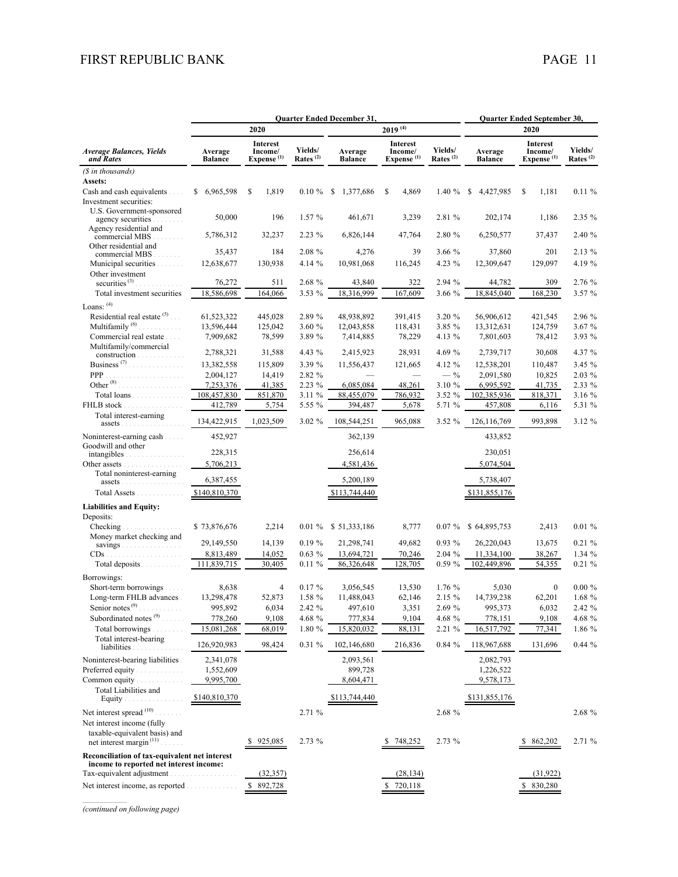|                                                                                                              |                           |                                                      | <b>Ouarter Ended December 31,</b><br>Quarter Ended September 30, |                           |                                                      |                                 |                           |                                                      |                        |
|--------------------------------------------------------------------------------------------------------------|---------------------------|------------------------------------------------------|------------------------------------------------------------------|---------------------------|------------------------------------------------------|---------------------------------|---------------------------|------------------------------------------------------|------------------------|
|                                                                                                              |                           | 2020                                                 |                                                                  |                           | $2019^{(4)}$                                         |                                 |                           | 2020                                                 |                        |
| <b>Average Balances, Yields</b><br>and Rates                                                                 | Average<br><b>Balance</b> | <b>Interest</b><br>Income/<br>Expense <sup>(1)</sup> | Yields/<br>Rates $^{(2)}$                                        | Average<br><b>Balance</b> | <b>Interest</b><br>Income/<br>Expense <sup>(1)</sup> | Yields/<br>Rates <sup>(2)</sup> | Average<br><b>Balance</b> | <b>Interest</b><br>Income/<br>Expense <sup>(1)</sup> | Yields/<br>Rates $(2)$ |
| (\$ in thousands)                                                                                            |                           |                                                      |                                                                  |                           |                                                      |                                 |                           |                                                      |                        |
| Assets:                                                                                                      |                           |                                                      |                                                                  |                           |                                                      |                                 |                           |                                                      |                        |
| Cash and cash equivalents                                                                                    | \$ 6,965,598              | 1,819<br>\$                                          | $0.10 \%$                                                        | \$<br>1,377,686           | \$<br>4,869                                          | 1.40%                           | \$<br>4,427,985           | 1,181<br>S                                           | $0.11 \%$              |
| Investment securities:<br>U.S. Government-sponsored                                                          |                           |                                                      |                                                                  |                           |                                                      |                                 |                           |                                                      |                        |
| agency securities.<br>.                                                                                      | 50,000                    | 196                                                  | 1.57 %                                                           | 461,671                   | 3,239                                                | 2.81 %                          | 202,174                   | 1,186                                                | 2.35 %                 |
| Agency residential and<br>commercial MBS<br>.                                                                | 5,786,312                 | 32,237                                               | $2.23\%$                                                         | 6,826,144                 | 47,764                                               | 2.80 %                          | 6,250,577                 | 37,437                                               | 2.40 %                 |
| Other residential and<br>commercial MBS.<br>$\mathcal{L}^{\mathcal{L}}$ . In the $\mathcal{L}^{\mathcal{L}}$ | 35,437                    | 184                                                  | 2.08 %                                                           | 4,276                     | 39                                                   | 3.66 %                          | 37,860                    | 201                                                  | 2.13 %                 |
| Municipal securities                                                                                         | 12,638,677                | 130,938                                              | 4.14 %                                                           | 10,981,068                | 116,245                                              | 4.23 %                          | 12,309,647                | 129,097                                              | 4.19 %                 |
| Other investment<br>securities $^{(3)}$ .<br>.                                                               | 76,272                    | 511                                                  | 2.68 %                                                           | 43,840                    | 322                                                  | 2.94 %                          | 44,782                    | 309                                                  | 2.76 %                 |
| Total investment securities                                                                                  | 18,586,698                | 164,066                                              | 3.53 %                                                           | 18,316,999                | 167,609                                              | 3.66 %                          | 18,845,040                | 168,230                                              | 3.57 %                 |
| Loans: (4)                                                                                                   |                           |                                                      |                                                                  |                           |                                                      |                                 |                           |                                                      |                        |
| Residential real estate $(5)$                                                                                | 61,523,322                | 445,028                                              | 2.89 %                                                           | 48,938,892                | 391,415                                              | 3.20 %                          | 56,906,612                | 421,545                                              | 2.96 %                 |
| Multifamily <sup>(6)</sup><br>.                                                                              | 13,596,444                | 125,042                                              | 3.60 %                                                           | 12,043,858                | 118,431                                              | 3.85 %                          | 13,312,631                | 124,759                                              | 3.67 %                 |
| Commercial real estate                                                                                       | 7,909,682                 | 78,599                                               | 3.89 %                                                           | 7,414,885                 | 78,229                                               | 4.13 %                          | 7,801,603                 | 78,412                                               | 3.93 %                 |
| Multifamily/commercial<br>construction                                                                       | 2,788,321                 | 31,588                                               | 4.43 %                                                           | 2,415,923                 | 28,931                                               | 4.69 %                          | 2,739,717                 | 30,608                                               | 4.37 %                 |
| Business <sup>(7)</sup>                                                                                      | 13,382,558                | 115,809                                              | 3.39 %                                                           | 11,556,437                | 121,665                                              | 4.12 %                          | 12,538,201                | 110,487                                              | 3.45%                  |
| PPP<br>.                                                                                                     | 2,004,127                 | 14,419                                               | 2.82 %                                                           |                           |                                                      | $-$ %                           | 2,091,580                 | 10,825                                               | 2.03 %                 |
| Other <sup>(8)</sup><br>.                                                                                    | 7,253,376                 | 41,385                                               | 2.23 %                                                           | 6,085,084                 | 48,261                                               | 3.10 %                          | 6,995,592                 | 41,735                                               | 2.33 %                 |
| Total loans                                                                                                  | 108,457,830               | 851,870                                              | 3.11 %                                                           | 88,455,079                | 786,932                                              | 3.52 %                          | 102,385,936               | 818,371                                              | 3.16 %                 |
| FHLB stock                                                                                                   | 412,789                   | 5,754                                                | 5.55 %                                                           | 394,487                   | 5,678                                                | 5.71 %                          | 457,808                   | 6,116                                                | 5.31 %                 |
| Total interest-earning<br>assets                                                                             | 134,422,915               | 1,023,509                                            | 3.02 %                                                           | 108,544,251               | 965,088                                              | 3.52 %                          | 126, 116, 769             | 993,898                                              | 3.12 %                 |
| Noninterest-earning cash                                                                                     | 452,927                   |                                                      |                                                                  | 362,139                   |                                                      |                                 | 433,852                   |                                                      |                        |
| Goodwill and other<br>intangibles                                                                            | 228,315                   |                                                      |                                                                  | 256,614                   |                                                      |                                 | 230,051                   |                                                      |                        |
| Other assets                                                                                                 | 5,706,213                 |                                                      |                                                                  | 4,581,436                 |                                                      |                                 | 5,074,504                 |                                                      |                        |
| Total noninterest-earning<br>assets                                                                          | 6,387,455                 |                                                      |                                                                  | 5,200,189                 |                                                      |                                 | 5,738,407                 |                                                      |                        |
| Total Assets                                                                                                 | \$140,810,370             |                                                      |                                                                  | \$113,744,440             |                                                      |                                 | \$131,855,176             |                                                      |                        |
| <b>Liabilities and Equity:</b>                                                                               |                           |                                                      |                                                                  |                           |                                                      |                                 |                           |                                                      |                        |
| Deposits:                                                                                                    |                           |                                                      |                                                                  |                           |                                                      |                                 |                           |                                                      |                        |
| Checking                                                                                                     | \$73,876,676              | 2,214                                                |                                                                  | 0.01 % \$ 51,333,186      | 8,777                                                | $0.07 \%$                       | \$64,895,753              | 2,413                                                | $0.01 \%$              |
| Money market checking and<br>savings                                                                         | 29,149,550                | 14,139                                               | $0.19 \%$                                                        | 21,298,741                | 49,682                                               | 0.93 %                          | 26,220,043                | 13,675                                               | $0.21 \%$              |
| $CDs$ .<br>.                                                                                                 | 8,813,489                 | 14,052                                               | $0.63\%$                                                         | 13,694,721                | 70,246                                               | 2.04 %                          | 11,334,100                | 38,267                                               | 1.34%                  |
| Total deposits                                                                                               | 111,839,715               | 30,405                                               | $0.11 \%$                                                        | 86,326,648                | 128,705                                              | $0.59 \%$                       | 102,449,896               | 54,355                                               | 0.21%                  |
| Borrowings:                                                                                                  |                           |                                                      |                                                                  |                           |                                                      |                                 |                           |                                                      |                        |
| Short-term borrowings                                                                                        | 8,638                     | $\overline{4}$                                       | $0.17 \%$                                                        | 3,056,545                 | 13,530                                               | 1.76 %                          | 5,030                     | $\mathbf{0}$                                         | $0.00 \%$              |
| Long-term FHLB advances.                                                                                     | 13,298,478                | 52,873                                               | 1.58 %                                                           | 11,488,043                | 62,146                                               | 2.15 %                          | 14,739,238                | 62,201                                               | 1.68 %                 |
| Senior notes $(9)$                                                                                           | 995,892                   | 6,034                                                | 2.42 %                                                           | 497,610                   | 3,351                                                | 2.69 %                          | 995,373                   | 6,032                                                | 2.42 %                 |
| Subordinated notes <sup>(9)</sup>                                                                            | 778,260                   | 9,108                                                | $4.68~\%$                                                        | 777,834                   | 9,104                                                | 4.68 %                          | 778,151                   | 9,108                                                | 4.68 %                 |
| Total borrowings<br>Total interest-bearing                                                                   | 15,081,268                | 68,019                                               | 1.80 %                                                           | 15,820,032                | 88,131                                               | 2.21 %                          | 16,517,792                | 77,341                                               | 1.86 %                 |
| liabilities.                                                                                                 | 126,920,983               | 98,424                                               | $0.31\%$                                                         | 102,146,680               | 216,836                                              | 0.84 %                          | 118,967,688               | 131,696                                              | $0.44 \%$              |
| Noninterest-bearing liabilities                                                                              | 2,341,078                 |                                                      |                                                                  | 2,093,561                 |                                                      |                                 | 2,082,793                 |                                                      |                        |
| Preferred equity<br>Common equity                                                                            | 1,552,609<br>9,995,700    |                                                      |                                                                  | 899,728                   |                                                      |                                 | 1,226,522<br>9,578,173    |                                                      |                        |
| Total Liabilities and                                                                                        |                           |                                                      |                                                                  | 8,604,471                 |                                                      |                                 |                           |                                                      |                        |
| Equity.                                                                                                      | \$140,810,370             |                                                      |                                                                  | \$113,744,440             |                                                      |                                 | \$131,855,176             |                                                      |                        |
| Net interest spread $(10)$                                                                                   |                           |                                                      | 2.71 %                                                           |                           |                                                      | 2.68 %                          |                           |                                                      | 2.68 %                 |
| Net interest income (fully                                                                                   |                           |                                                      |                                                                  |                           |                                                      |                                 |                           |                                                      |                        |
| taxable-equivalent basis) and<br>net interest margin <sup>(11)</sup> .                                       |                           | 925,085                                              | 2.73 %                                                           |                           | 748,252                                              | 2.73%                           |                           | 862,202                                              | 2.71 %                 |
| Reconciliation of tax-equivalent net interest<br>income to reported net interest income:                     |                           |                                                      |                                                                  |                           |                                                      |                                 |                           |                                                      |                        |
| Tax-equivalent adjustment.                                                                                   |                           | (32, 357)                                            |                                                                  |                           | (28, 134)                                            |                                 |                           | (31, 922)                                            |                        |
| Net interest income, as reported                                                                             |                           | 892,728<br>S.                                        |                                                                  |                           | \$720,118                                            |                                 |                           | \$ 830,280                                           |                        |

*(continued on following page)*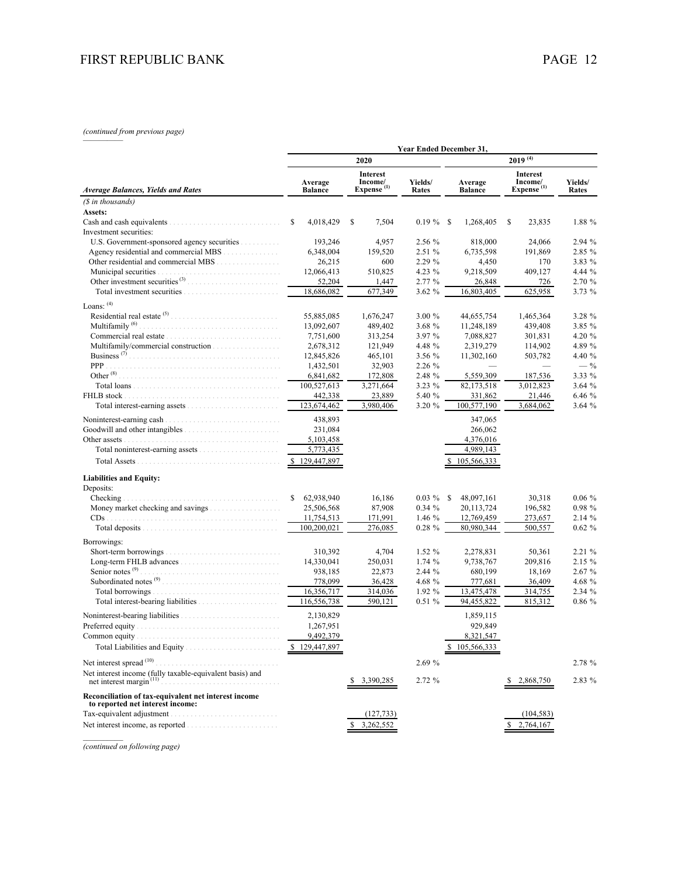## *(continued from previous page)* —————

|                                                                                        | Year Ended December 31,   |                                               |                  |                             |                                                      |                  |  |  |  |  |  |
|----------------------------------------------------------------------------------------|---------------------------|-----------------------------------------------|------------------|-----------------------------|------------------------------------------------------|------------------|--|--|--|--|--|
|                                                                                        |                           | 2020                                          |                  | $2019$ <sup>(4)</sup>       |                                                      |                  |  |  |  |  |  |
| Average Balances, Yields and Rates                                                     | Average<br><b>Balance</b> | Interest<br>Income/<br>Expense <sup>(1)</sup> | Yields/<br>Rates | Average<br><b>Balance</b>   | <b>Interest</b><br>Income/<br>Expense <sup>(1)</sup> | Yields/<br>Rates |  |  |  |  |  |
| (\$ in thousands)                                                                      |                           |                                               |                  |                             |                                                      |                  |  |  |  |  |  |
| Assets:                                                                                |                           |                                               |                  |                             |                                                      |                  |  |  |  |  |  |
|                                                                                        | 4,018,429<br>S            | \$<br>7,504                                   | $0.19\%$         | 1,268,405<br>-S             | 23,835<br>S                                          | 1.88 %           |  |  |  |  |  |
| Investment securities:                                                                 |                           |                                               |                  |                             |                                                      |                  |  |  |  |  |  |
| U.S. Government-sponsored agency securities                                            | 193,246                   | 4,957                                         | 2.56 %           | 818,000                     | 24,066                                               | 2.94 %           |  |  |  |  |  |
|                                                                                        | 6,348,004                 | 159,520                                       | 2.51 %           | 6,735,598                   | 191,869                                              | 2.85 %           |  |  |  |  |  |
|                                                                                        | 26,215                    | 600                                           | 2.29 %           | 4,450                       | 170                                                  | 3.83 %           |  |  |  |  |  |
| Municipal securities                                                                   | 12,066,413                | 510,825                                       | 4.23 %           | 9,218,509                   | 409,127                                              | 4.44 %           |  |  |  |  |  |
| Other investment securities <sup>(3)</sup>                                             | 52,204                    | 1,447                                         | 2.77%            | 26,848                      | 726                                                  | 2.70 %           |  |  |  |  |  |
|                                                                                        | 18,686,082                | 677,349                                       | 3.62%            | 16,803,405                  | 625,958                                              | 3.73 %           |  |  |  |  |  |
| Loans: (4)                                                                             |                           |                                               |                  |                             |                                                      |                  |  |  |  |  |  |
| Residential real estate $(5)$ .                                                        | 55,885,085                | 1,676,247                                     | 3.00%            | 44,655,754                  | 1,465,364                                            | 3.28 %           |  |  |  |  |  |
| Multifamily <sup>(6)</sup>                                                             | 13,092,607                | 489,402                                       | 3.68 %           | 11,248,189                  | 439,408                                              | 3.85 %           |  |  |  |  |  |
|                                                                                        | 7,751,600                 | 313,254                                       | 3.97 %           | 7,088,827                   | 301,831                                              | 4.20 %           |  |  |  |  |  |
|                                                                                        | 2,678,312                 | 121,949                                       | 4.48 %           | 2,319,279                   | 114,902                                              | 4.89 %           |  |  |  |  |  |
| Business <sup>(7)</sup>                                                                | 12,845,826                | 465,101                                       | 3.56 %           | 11,302,160                  | 503,782                                              | 4.40 %           |  |  |  |  |  |
| <b>PPP</b>                                                                             | 1,432,501                 | 32,903                                        | 2.26 %           |                             |                                                      | $- \frac{9}{6}$  |  |  |  |  |  |
| Other $^{(8)}$                                                                         | 6,841,682                 | 172,808                                       | 2.48 %           | 5,559,309                   | 187,536                                              | 3.33 %           |  |  |  |  |  |
|                                                                                        | 100,527,613               | 3,271,664                                     | 3.23 %           | 82,173,518                  | 3,012,823                                            | 3.64%            |  |  |  |  |  |
|                                                                                        | 442,338                   | 23,889                                        | 5.40 %           | 331,862                     | 21,446                                               | 6.46 %           |  |  |  |  |  |
|                                                                                        | 123,674,462               | 3,980,406                                     | 3.20 %           | 100.577.190                 | 3,684,062                                            | 3.64 %           |  |  |  |  |  |
| Noninterest-earning cash                                                               | 438,893                   |                                               |                  | 347,065                     |                                                      |                  |  |  |  |  |  |
|                                                                                        | 231,084                   |                                               |                  | 266,062                     |                                                      |                  |  |  |  |  |  |
| Other assets                                                                           | 5,103,458                 |                                               |                  | 4,376,016                   |                                                      |                  |  |  |  |  |  |
|                                                                                        | 5,773,435                 |                                               |                  | 4,989,143                   |                                                      |                  |  |  |  |  |  |
|                                                                                        | \$129,447,897             |                                               |                  | 105,566,333                 |                                                      |                  |  |  |  |  |  |
| <b>Liabilities and Equity:</b>                                                         |                           |                                               |                  |                             |                                                      |                  |  |  |  |  |  |
| Deposits:                                                                              |                           |                                               |                  |                             |                                                      |                  |  |  |  |  |  |
| Checking                                                                               | S.<br>62,938,940          | 16,186                                        | $0.03 \%$        | <sup>\$</sup><br>48,097,161 | 30,318                                               | $0.06 \%$        |  |  |  |  |  |
|                                                                                        | 25,506,568                | 87,908                                        | $0.34 \%$        | 20,113,724                  | 196,582                                              | 0.98%            |  |  |  |  |  |
|                                                                                        | 11,754,513                | 171,991                                       | 1.46 $%$         | 12,769,459                  | 273,657                                              | 2.14 %           |  |  |  |  |  |
|                                                                                        | 100,200,021               | 276,085                                       | $0.28 \%$        | 80.980.344                  | 500,557                                              | $0.62 \%$        |  |  |  |  |  |
| Borrowings:                                                                            |                           |                                               |                  |                             |                                                      |                  |  |  |  |  |  |
| Short-term borrowings.                                                                 | 310,392                   | 4,704                                         | 1.52 %           | 2,278,831                   | 50,361                                               | 2.21%            |  |  |  |  |  |
|                                                                                        | 14,330,041                | 250,031                                       | 1.74 %           | 9,738,767                   | 209,816                                              | 2.15 %           |  |  |  |  |  |
| Senior notes <sup>(9)</sup>                                                            | 938,185                   | 22,873                                        | 2.44 %           | 680,199                     | 18,169                                               | 2.67%            |  |  |  |  |  |
|                                                                                        | 778,099                   | 36,428                                        | 4.68 %           | 777.681                     | 36,409                                               | 4.68 %           |  |  |  |  |  |
| Total borrowings                                                                       | 16,356,717                | 314,036                                       | 1.92 %           | 13,475,478                  | 314,755                                              | 2.34 %           |  |  |  |  |  |
|                                                                                        | 116,556,738               | 590,121                                       | $0.51 \%$        | 94,455,822                  | 815,312                                              | 0.86 %           |  |  |  |  |  |
|                                                                                        | 2,130,829                 |                                               |                  | 1,859,115                   |                                                      |                  |  |  |  |  |  |
| Preferred equity                                                                       | 1,267,951                 |                                               |                  | 929.849                     |                                                      |                  |  |  |  |  |  |
| Common equity.                                                                         | 9,492,379                 |                                               |                  | 8,321,547                   |                                                      |                  |  |  |  |  |  |
|                                                                                        | 129,447,897               |                                               |                  | \$105,566,333               |                                                      |                  |  |  |  |  |  |
|                                                                                        |                           |                                               |                  |                             |                                                      |                  |  |  |  |  |  |
| Net interest spread (10)                                                               |                           |                                               | 2.69 %           |                             |                                                      | 2.78 %           |  |  |  |  |  |
| Net interest income (fully taxable-equivalent basis) and<br>net interest margin $(11)$ |                           | 3,390,285                                     | 2.72%            |                             | 2,868,750                                            | 2.83 %           |  |  |  |  |  |
| Reconciliation of tax-equivalent net interest income                                   |                           |                                               |                  |                             |                                                      |                  |  |  |  |  |  |
| to reported net interest income:                                                       |                           |                                               |                  |                             |                                                      |                  |  |  |  |  |  |
| Tax-equivalent adjustment.                                                             |                           | (127, 733)                                    |                  |                             | (104, 583)                                           |                  |  |  |  |  |  |
|                                                                                        |                           | 3,262,552                                     |                  |                             | 2,764,167                                            |                  |  |  |  |  |  |
|                                                                                        |                           |                                               |                  |                             |                                                      |                  |  |  |  |  |  |

*(continued on following page)*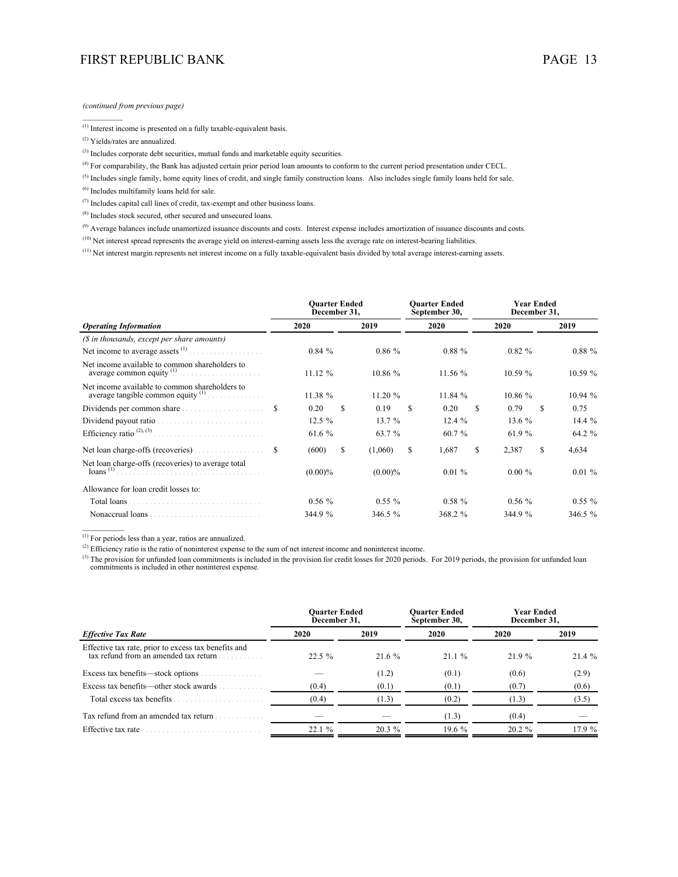*(continued from previous page)*

(1) Interest income is presented on a fully taxable-equivalent basis.

(2) Yields/rates are annualized.

*\_\_\_\_\_\_\_\_\_\_*

(3) Includes corporate debt securities, mutual funds and marketable equity securities.

(4) For comparability, the Bank has adjusted certain prior period loan amounts to conform to the current period presentation under CECL.

<sup>(5)</sup> Includes single family, home equity lines of credit, and single family construction loans. Also includes single family loans held for sale.

(6) Includes multifamily loans held for sale.

 $^{(7)}$  Includes capital call lines of credit, tax-exempt and other business loans.

(8) Includes stock secured, other secured and unsecured loans.

<sup>(9)</sup> Average balances include unamortized issuance discounts and costs. Interest expense includes amortization of issuance discounts and costs.

<sup>(10)</sup> Net interest spread represents the average yield on interest-earning assets less the average rate on interest-bearing liabilities.

(11) Net interest margin represents net interest income on a fully taxable-equivalent basis divided by total average interest-earning assets.

|                                                                                        |   | <b>Quarter Ended</b><br>December 31, |   |            |   | <b>Ouarter Ended</b><br>September 30, | <b>Year Ended</b><br>December 31, |           |    |           |  |
|----------------------------------------------------------------------------------------|---|--------------------------------------|---|------------|---|---------------------------------------|-----------------------------------|-----------|----|-----------|--|
| <b>Operating Information</b>                                                           |   | 2020                                 |   | 2019       |   | 2020                                  |                                   | 2020      |    | 2019      |  |
| (\$ in thousands, except per share amounts)                                            |   |                                      |   |            |   |                                       |                                   |           |    |           |  |
| Net income to average assets $(1)$                                                     |   | 0.84%                                |   | $0.86\%$   |   | $0.88 \%$                             |                                   | $0.82 \%$ |    | $0.88 \%$ |  |
| Net income available to common shareholders to<br>average common equity $(1)$<br>.     |   | 11.12 %                              |   | 10.86%     |   | 11.56 %                               |                                   | 10.59 %   |    | 10.59%    |  |
| Net income available to common shareholders to<br>average tangible common equity $(1)$ |   | 11.38 %                              |   | 11.20%     |   | 11.84 %                               |                                   | 10.86%    |    | 10.94%    |  |
|                                                                                        |   | 0.20                                 | S | 0.19       | S | 0.20                                  | S                                 | 0.79      | S  | 0.75      |  |
|                                                                                        |   | 12.5 %                               |   | 13.7%      |   | 12.4%                                 |                                   | 13.6 %    |    | 14.4 %    |  |
| Efficiency ratio <sup>(2), (3)</sup>                                                   |   | 61.6 %                               |   | 63.7 %     |   | 60.7 %                                |                                   | 61.9 %    |    | 64.2 %    |  |
| Net loan charge-offs (recoveries).                                                     | S | (600)                                | S | (1,060)    | S | 1,687                                 | S                                 | 2,387     | \$ | 4,634     |  |
| Net loan charge-offs (recoveries) to average total<br>loans $(1)$                      |   | $(0.00)\%$                           |   | $(0.00)\%$ |   | $0.01 \%$                             |                                   | $0.00 \%$ |    | $0.01 \%$ |  |
| Allowance for loan credit losses to:                                                   |   |                                      |   |            |   |                                       |                                   |           |    |           |  |
| Total loans                                                                            |   | $0.56\%$                             |   | $0.55\%$   |   | $0.58 \%$                             |                                   | $0.56\%$  |    | $0.55\%$  |  |
| Nonaccrual loans                                                                       |   | 344.9 %                              |   | 346.5 %    |   | 368.2 %                               |                                   | 344.9 %   |    | 346.5 %   |  |

(1) For periods less than a year, ratios are annualized.

<sup>(2)</sup> Efficiency ratio is the ratio of noninterest expense to the sum of net interest income and noninterest income.

 $(3)$  The provision for unfunded loan commitments is included in the provision for credit losses for 2020 periods. For 2019 periods, the provision for unfunded loan commitments is included in other noninterest expense.

|                                                                                               | <b>Ouarter Ended</b><br>December 31. |           | <b>Ouarter Ended</b><br>September 30, | Year Ended<br>December 31. |           |  |  |
|-----------------------------------------------------------------------------------------------|--------------------------------------|-----------|---------------------------------------|----------------------------|-----------|--|--|
| <b>Effective Tax Rate</b>                                                                     | 2020                                 | 2019      | 2020                                  | 2020                       | 2019      |  |  |
| Effective tax rate, prior to excess tax benefits and<br>tax refund from an amended tax return | $22.5 \%$                            | $21.6 \%$ | 21.1%                                 | 21.9%                      | $21.4 \%$ |  |  |
| Excess tax benefits—stock options                                                             |                                      | (1.2)     | (0.1)                                 | (0.6)                      | (2.9)     |  |  |
| Excess tax benefits—other stock awards                                                        | (0.4)                                | (0.1)     | (0.1)                                 | (0.7)                      | (0.6)     |  |  |
| Total excess tax benefits                                                                     | (0.4)                                | (1.3)     | (0.2)                                 | (1.3)                      | (3.5)     |  |  |
| Tax refund from an amended tax return                                                         |                                      |           | (1.3)                                 | (0.4)                      |           |  |  |
| Effective tax rate                                                                            | 22.1%                                | $20.3\%$  | $19.6\%$                              | $20.2 \%$                  | 17.9%     |  |  |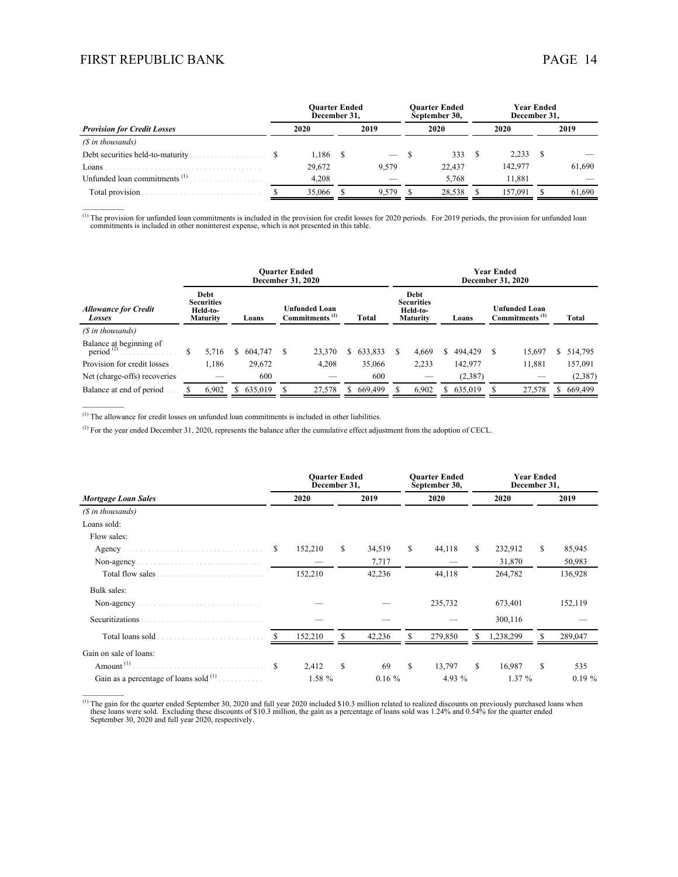$\mathcal{L}_\text{max}$ 

 $\mathcal{L}_\text{max}$ 

 $\mathcal{L}_\text{max}$ 

|                                          |  | Ouarter Ended<br>December 31. |  |       |  | <b>Ouarter Ended</b><br>September 30, | Year Ended<br>December 31. |      |        |  |  |
|------------------------------------------|--|-------------------------------|--|-------|--|---------------------------------------|----------------------------|------|--------|--|--|
| <b>Provision for Credit Losses</b>       |  | 2020                          |  | 2019  |  | 2020                                  | 2020                       | 2019 |        |  |  |
| $(S$ in thousands)                       |  |                               |  |       |  |                                       |                            |      |        |  |  |
|                                          |  | $1,186$ \$                    |  |       |  | 333                                   | 2,233                      |      |        |  |  |
| Loans .                                  |  | 29.672                        |  | 9.579 |  | 22.437                                | 142,977                    |      | 61,690 |  |  |
| Unfunded loan commitments <sup>(1)</sup> |  | 4.208                         |  |       |  | 5.768                                 | 11.881                     |      |        |  |  |
|                                          |  | 35,066                        |  | 9.579 |  | 28.538                                | 157.091                    |      | 61.690 |  |  |

 $^{(1)}$  The provision for unfunded loan commitments is included in the provision for credit losses for 2020 periods. For 2019 periods, the provision for unfunded loan commitments is included in other noninterest expense, w

|                                            | <b>Ouarter Ended</b><br><b>December 31, 2020</b>         |  |         |   |                                                    |  |              | <b>Year Ended</b><br>December 31, 2020 |                                                          |  |         |   |                                                    |    |              |  |
|--------------------------------------------|----------------------------------------------------------|--|---------|---|----------------------------------------------------|--|--------------|----------------------------------------|----------------------------------------------------------|--|---------|---|----------------------------------------------------|----|--------------|--|
| <b>Allowance for Credit</b><br>Losses      | Debt<br><b>Securities</b><br>Held-to-<br><b>Maturity</b> |  | Loans   |   | <b>Unfunded Loan</b><br>Commitments <sup>(1)</sup> |  | <b>Total</b> |                                        | Debt<br><b>Securities</b><br>Held-to-<br><b>Maturity</b> |  | Loans   |   | <b>Unfunded Loan</b><br>Commitments <sup>(1)</sup> |    | <b>Total</b> |  |
| (\$ in thousands)                          |                                                          |  |         |   |                                                    |  |              |                                        |                                                          |  |         |   |                                                    |    |              |  |
| Balance at beginning of<br>period $^{(2)}$ | 5.716                                                    |  | 604.747 | S | 23,370                                             |  | \$633,833    |                                        | 4.669                                                    |  | 494.429 | S | 15,697                                             | S. | 514,795      |  |
| Provision for credit losses                | 1.186                                                    |  | 29,672  |   | 4,208                                              |  | 35,066       |                                        | 2,233                                                    |  | 142,977 |   | 11.881                                             |    | 157,091      |  |
| Net (charge-offs) recoveries               |                                                          |  | 600     |   |                                                    |  | 600          |                                        |                                                          |  | (2,387) |   |                                                    |    | (2,387)      |  |
| Balance at end of period                   | 6,902                                                    |  | 635,019 |   | 27,578                                             |  | 669,499      |                                        | 6,902                                                    |  | 635,019 |   | 27,578                                             | S. | 669,499      |  |

 $<sup>(1)</sup>$  The allowance for credit losses on unfunded loan commitments is included in other liabilities.</sup>

<sup>(2)</sup> For the year ended December 31, 2020, represents the balance after the cumulative effect adjustment from the adoption of CECL.

|                                            |     | <b>Ouarter Ended</b><br>December 31, |    |          |     | <b>Ouarter Ended</b><br>September 30, | <b>Year Ended</b><br>December 31, |           |           |         |  |  |
|--------------------------------------------|-----|--------------------------------------|----|----------|-----|---------------------------------------|-----------------------------------|-----------|-----------|---------|--|--|
| <b>Mortgage Loan Sales</b>                 |     | 2020                                 |    | 2019     |     | 2020                                  |                                   | 2020      |           | 2019    |  |  |
| (\$ in thousands)                          |     |                                      |    |          |     |                                       |                                   |           |           |         |  |  |
| Loans sold:                                |     |                                      |    |          |     |                                       |                                   |           |           |         |  |  |
| Flow sales:                                |     |                                      |    |          |     |                                       |                                   |           |           |         |  |  |
|                                            | S   | 152,210                              | S. | 34,519   | S.  | 44,118                                | S.                                | 232,912   | S         | 85,945  |  |  |
| Non-agency                                 |     |                                      |    | 7,717    |     |                                       |                                   | 31,870    |           | 50,983  |  |  |
|                                            |     | 152,210                              |    | 42,236   |     | 44,118                                |                                   | 264,782   |           | 136,928 |  |  |
| Bulk sales:                                |     |                                      |    |          |     |                                       |                                   |           |           |         |  |  |
| Non-agency                                 |     |                                      |    |          |     | 235,732                               |                                   | 673,401   |           | 152,119 |  |  |
| Securitizations                            |     |                                      |    |          |     |                                       |                                   | 300,116   |           |         |  |  |
| Total loans sold                           |     | 152,210                              | S  | 42,236   |     | 279,850                               | S                                 | 1,238,299 | S         | 289,047 |  |  |
| Gain on sale of loans:                     |     |                                      |    |          |     |                                       |                                   |           |           |         |  |  |
| Amount <sup>(1)</sup> .                    | \$. | 2,412                                | S  | 69       | \$. | 13,797                                | S.                                | 16,987    | S         | 535     |  |  |
| Gain as a percentage of loans sold $(1)$ . |     | 1.58 %                               |    | $0.16\%$ |     | 4.93 $%$                              |                                   | 1.37%     | $0.19 \%$ |         |  |  |

<sup>(1)</sup> The gain for the quarter ended September 30, 2020 and full year 2020 included \$10.3 million related to realized discounts on previously purchased loans when these loans were sold. Excluding these discounts of \$10.3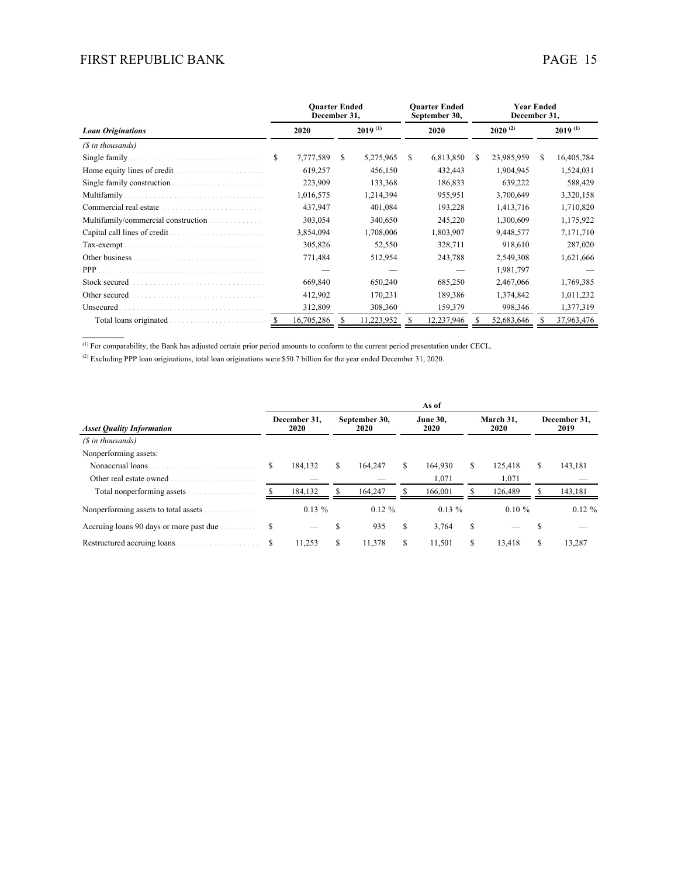|                                     |            | <b>Ouarter Ended</b><br>December 31, |              |           | <b>Ouarter Ended</b><br>September 30, |           |            | <b>Year Ended</b><br>December 31, |              |            |  |  |  |
|-------------------------------------|------------|--------------------------------------|--------------|-----------|---------------------------------------|-----------|------------|-----------------------------------|--------------|------------|--|--|--|
| <b>Loan Originations</b>            | 2020       |                                      | $2019^{(1)}$ |           |                                       | 2020      |            | $2020^{(2)}$                      | $2019^{(1)}$ |            |  |  |  |
| (\$ in thousands)                   |            |                                      |              |           |                                       |           |            |                                   |              |            |  |  |  |
| Single family                       | S          | 7,777,589                            | S.           | 5,275,965 | \$.                                   | 6,813,850 | S.         | 23,985,959                        | S.           | 16,405,784 |  |  |  |
| Home equity lines of credit<br>.    |            | 619,257                              |              | 456,150   |                                       | 432,443   |            | 1,904,945                         |              | 1,524,031  |  |  |  |
| Single family construction.<br>.    |            | 223,909                              |              | 133,368   |                                       | 186,833   |            | 639,222                           |              | 588,429    |  |  |  |
| Multifamily.                        |            | 1,016,575                            |              | 1,214,394 |                                       | 955,951   |            | 3,700,649                         |              | 3,320,158  |  |  |  |
| Commercial real estate.             |            | 437,947                              |              | 401,084   |                                       | 193,228   |            | 1,413,716                         |              | 1,710,820  |  |  |  |
| Multifamily/commercial construction |            | 303,054                              |              | 340,650   |                                       | 245,220   |            | 1,300,609                         |              | 1,175,922  |  |  |  |
|                                     |            | 3,854,094                            |              | 1,708,006 |                                       | 1,803,907 |            | 9,448,577                         |              | 7,171,710  |  |  |  |
| Tax-exempt.                         |            | 305,826                              |              | 52,550    |                                       | 328,711   |            | 918,610                           |              | 287,020    |  |  |  |
|                                     |            | 771,484                              |              | 512,954   |                                       | 243,788   |            | 2,549,308                         |              | 1,621,666  |  |  |  |
|                                     |            |                                      |              |           |                                       |           |            | 1,981,797                         |              |            |  |  |  |
| Stock secured                       |            | 669,840                              |              | 650,240   |                                       | 685,250   |            | 2,467,066                         |              | 1,769,385  |  |  |  |
| Other secured                       |            | 412,902                              |              | 170,231   |                                       | 189,386   |            | 1,374,842                         |              | 1,011,232  |  |  |  |
| Unsecured                           |            | 312,809                              |              | 308,360   |                                       | 159,379   | 998,346    |                                   |              | 1,377,319  |  |  |  |
| Total loans originated              | 16,705,286 |                                      | 11,223,952   |           | 12,237,946                            |           | 52,683,646 |                                   | 37,963,476   |            |  |  |  |
|                                     |            |                                      |              |           |                                       |           |            |                                   |              |            |  |  |  |

 $<sup>(1)</sup>$  For comparability, the Bank has adjusted certain prior period amounts to conform to the current period presentation under CECL.</sup>

(2) Excluding PPP loan originations, total loan originations were \$50.7 billion for the year ended December 31, 2020.

|                                              | As of |                      |    |                       |                         |          |   |                   |                      |           |  |  |  |
|----------------------------------------------|-------|----------------------|----|-----------------------|-------------------------|----------|---|-------------------|----------------------|-----------|--|--|--|
| <b>Asset Quality Information</b>             |       | December 31.<br>2020 |    | September 30,<br>2020 | <b>June 30,</b><br>2020 |          |   | March 31,<br>2020 | December 31,<br>2019 |           |  |  |  |
| $(S$ in thousands)                           |       |                      |    |                       |                         |          |   |                   |                      |           |  |  |  |
| Nonperforming assets:                        |       |                      |    |                       |                         |          |   |                   |                      |           |  |  |  |
| Nonaccrual loans                             | S     | 184,132              | S  | 164,247               | S.                      | 164.930  | S | 125.418           | \$                   | 143,181   |  |  |  |
| Other real estate owned                      |       |                      |    |                       |                         | 1,071    |   | 1,071             |                      |           |  |  |  |
| Total nonperforming assets                   |       | 184,132              |    | 164.247               |                         | 166,001  |   | 126.489           |                      | 143,181   |  |  |  |
| Nonperforming assets to total assets         |       | $0.13\%$             |    | $0.12 \%$             |                         | $0.13\%$ |   | $0.10 \%$         |                      | $0.12 \%$ |  |  |  |
| Accruing loans 90 days or more past due<br>. | S     |                      |    | 935                   | S                       | 3,764    | S |                   |                      |           |  |  |  |
| Restructured accruing loans                  | S     | 11,253               | \$ | 11,378                | S                       | 11,501   | S | 13,418            | S                    | 13,287    |  |  |  |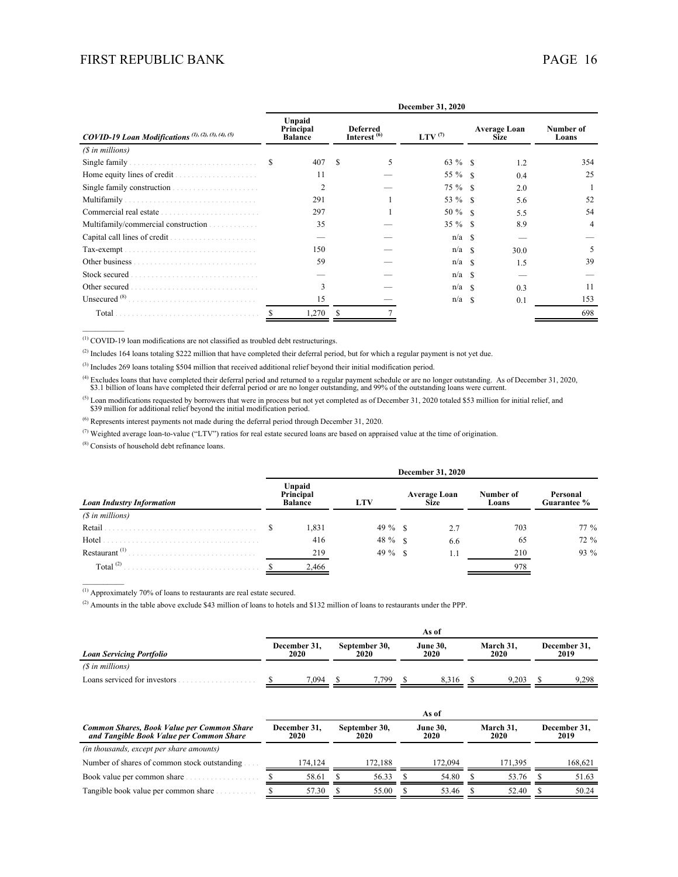|                                                                | December 31, 2020 |                                       |                                            |   |              |    |                                    |                    |  |  |  |  |
|----------------------------------------------------------------|-------------------|---------------------------------------|--------------------------------------------|---|--------------|----|------------------------------------|--------------------|--|--|--|--|
| COVID-19 Loan Modifications <sup>(1), (2), (3), (4), (5)</sup> |                   | Unpaid<br>Principal<br><b>Balance</b> | <b>Deferred</b><br>Interest <sup>(6)</sup> |   | LTV $^{(7)}$ |    | <b>Average Loan</b><br><b>Size</b> | Number of<br>Loans |  |  |  |  |
| (\$ in millions)                                               |                   |                                       |                                            |   |              |    |                                    |                    |  |  |  |  |
| Single family                                                  | S                 | 407                                   | S                                          | 5 | 63 % \$      |    | 1.2                                | 354                |  |  |  |  |
| Home equity lines of credit.<br>.                              |                   | 11                                    |                                            |   | 55 % \$      |    | 0.4                                | 25                 |  |  |  |  |
| Single family construction.                                    |                   | $\overline{2}$                        |                                            |   | 75 % \$      |    | 2.0                                |                    |  |  |  |  |
| Multifamily                                                    |                   | 291                                   |                                            |   | 53 % \$      |    | 5.6                                | 52                 |  |  |  |  |
| Commercial real estate                                         |                   | 297                                   |                                            |   | $50 \%$ \$   |    | 5.5                                | 54                 |  |  |  |  |
| Multifamily/commercial construction                            |                   | 35                                    |                                            |   | $35 \%$ \$   |    | 8.9                                | 4                  |  |  |  |  |
|                                                                |                   |                                       |                                            |   | $n/a$ \$     |    |                                    |                    |  |  |  |  |
| Tax-exempt.                                                    |                   | 150                                   |                                            |   | $n/a$ \$     |    | 30.0                               | 5                  |  |  |  |  |
| Other business                                                 |                   | 59                                    |                                            |   | n/a          | -S | 1.5                                | 39                 |  |  |  |  |
| Stock secured                                                  |                   |                                       |                                            |   | n/a          | -S |                                    |                    |  |  |  |  |
| Other secured                                                  |                   | 3                                     |                                            |   | n/a          | -S | 0.3                                | 11                 |  |  |  |  |
| Unsecured $(8)$ .                                              |                   | 15                                    |                                            |   | n/a          | -S | 0.1                                | 153                |  |  |  |  |
| Total                                                          |                   | .270                                  |                                            |   |              |    |                                    | 698                |  |  |  |  |
|                                                                |                   |                                       |                                            |   |              |    |                                    |                    |  |  |  |  |

(1) COVID-19 loan modifications are not classified as troubled debt restructurings.

<sup>(2)</sup> Includes 164 loans totaling \$222 million that have completed their deferral period, but for which a regular payment is not yet due.

(3) Includes 269 loans totaling \$504 million that received additional relief beyond their initial modification period.

(4) Excludes loans that have completed their deferral period and returned to a regular payment schedule or are no longer outstanding. As of December 31, 2020, \$3.1 billion of loans have completed their deferral period or

<sup>(5)</sup> Loan modifications requested by borrowers that were in process but not yet completed as of December 31, 2020 totaled \$53 million for initial relief, and \$39 million for additional relief beyond the initial modificat

(6) Represents interest payments not made during the deferral period through December 31, 2020.

 $(7)$  Weighted average loan-to-value ("LTV") ratios for real estate secured loans are based on appraised value at the time of origination.

(8) Consists of household debt refinance loans.

|                                  |  | December 31, 2020                     |            |                                    |     |                    |                         |  |  |  |  |  |
|----------------------------------|--|---------------------------------------|------------|------------------------------------|-----|--------------------|-------------------------|--|--|--|--|--|
| <b>Loan Industry Information</b> |  | Unpaid<br>Principal<br><b>Balance</b> | <b>LTV</b> | <b>Average Loan</b><br><b>Size</b> |     | Number of<br>Loans | Personal<br>Guarantee % |  |  |  |  |  |
| (\$ in millions)                 |  |                                       |            |                                    |     |                    |                         |  |  |  |  |  |
| Retail                           |  | 1,831                                 | $49\%$ \,  |                                    | 2.7 | 703                | 77 %                    |  |  |  |  |  |
| Hotel                            |  | 416                                   | $48 \%$ \$ |                                    | 6.6 | 65                 | 72 %                    |  |  |  |  |  |
| Restaurant <sup>(1)</sup>        |  | 219                                   |            |                                    | 1.1 | 210                | 93 %                    |  |  |  |  |  |
| Total $^{(2)}$                   |  | 2,466                                 |            |                                    |     | 978                |                         |  |  |  |  |  |

(1) Approximately 70% of loans to restaurants are real estate secured.

(2) Amounts in the table above exclude \$43 million of loans to hotels and \$132 million of loans to restaurants under the PPP.

|                                 | As of |                      |  |                       |  |                         |  |                   |  |                      |  |
|---------------------------------|-------|----------------------|--|-----------------------|--|-------------------------|--|-------------------|--|----------------------|--|
| <b>Loan Servicing Portfolio</b> |       | December 31,<br>2020 |  | September 30,<br>2020 |  | <b>June 30,</b><br>2020 |  | March 31,<br>2020 |  | December 31,<br>2019 |  |
| (\$ in millions)                |       |                      |  |                       |  |                         |  |                   |  |                      |  |
| Loans serviced for investors    |       | 7.094                |  | .799                  |  | 8.316                   |  | 9.203             |  | 9.298                |  |

|                                                                                        | As of |                      |                       |         |  |                         |  |                   |                      |         |  |
|----------------------------------------------------------------------------------------|-------|----------------------|-----------------------|---------|--|-------------------------|--|-------------------|----------------------|---------|--|
| Common Shares, Book Value per Common Share<br>and Tangible Book Value per Common Share |       | December 31.<br>2020 | September 30,<br>2020 |         |  | <b>June 30.</b><br>2020 |  | March 31.<br>2020 | December 31.<br>2019 |         |  |
| (in thousands, except per share amounts)                                               |       |                      |                       |         |  |                         |  |                   |                      |         |  |
| Number of shares of common stock outstanding.                                          |       | 174.124              |                       | 172.188 |  | 172,094                 |  | 171.395           |                      | 168,621 |  |
| Book value per common share                                                            |       | 58.61                |                       | 56.33   |  | 54.80                   |  | 53.76             |                      | 51.63   |  |
| Tangible book value per common share                                                   |       | 57.30                |                       | 55.00   |  | 53.46                   |  | 52.40             |                      | 50.24   |  |